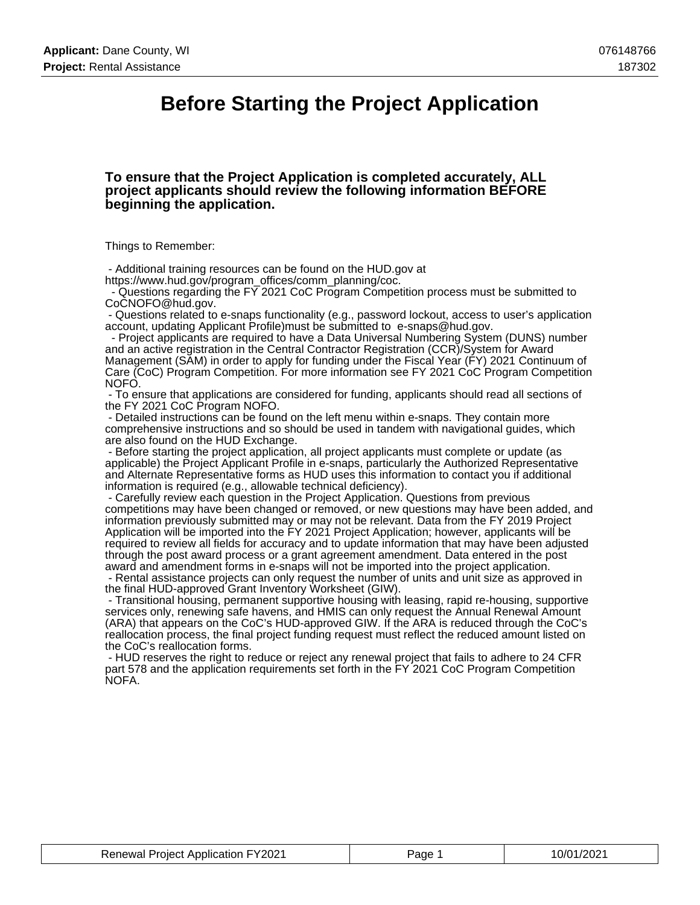# **Before Starting the Project Application**

#### **To ensure that the Project Application is completed accurately, ALL project applicants should review the following information BEFORE beginning the application.**

Things to Remember:

 - Additional training resources can be found on the HUD.gov at https://www.hud.gov/program\_offices/comm\_planning/coc.

 - Questions regarding the FY 2021 CoC Program Competition process must be submitted to CoCNOFO@hud.gov.

 - Questions related to e-snaps functionality (e.g., password lockout, access to user's application account, updating Applicant Profile)must be submitted to e-snaps@hud.gov.

 - Project applicants are required to have a Data Universal Numbering System (DUNS) number and an active registration in the Central Contractor Registration (CCR)/System for Award Management (SAM) in order to apply for funding under the Fiscal Year (FY) 2021 Continuum of Care (CoC) Program Competition. For more information see FY 2021 CoC Program Competition NOFO.

 - To ensure that applications are considered for funding, applicants should read all sections of the FY 2021 CoC Program NOFO.

 - Detailed instructions can be found on the left menu within e-snaps. They contain more comprehensive instructions and so should be used in tandem with navigational guides, which are also found on the HUD Exchange.

 - Before starting the project application, all project applicants must complete or update (as applicable) the Project Applicant Profile in e-snaps, particularly the Authorized Representative and Alternate Representative forms as HUD uses this information to contact you if additional information is required (e.g., allowable technical deficiency).

 - Carefully review each question in the Project Application. Questions from previous competitions may have been changed or removed, or new questions may have been added, and information previously submitted may or may not be relevant. Data from the FY 2019 Project Application will be imported into the FY 2021 Project Application; however, applicants will be required to review all fields for accuracy and to update information that may have been adjusted through the post award process or a grant agreement amendment. Data entered in the post award and amendment forms in e-snaps will not be imported into the project application.

 - Rental assistance projects can only request the number of units and unit size as approved in the final HUD-approved Grant Inventory Worksheet (GIW).

 - Transitional housing, permanent supportive housing with leasing, rapid re-housing, supportive services only, renewing safe havens, and HMIS can only request the Annual Renewal Amount (ARA) that appears on the CoC's HUD-approved GIW. If the ARA is reduced through the CoC's reallocation process, the final project funding request must reflect the reduced amount listed on the CoC's reallocation forms.

 - HUD reserves the right to reduce or reject any renewal project that fails to adhere to 24 CFR part 578 and the application requirements set forth in the FY 2021 CoC Program Competition NOFA.

| <b>Renewal Project Application FY2021</b> | Page | 10/01/2021 |
|-------------------------------------------|------|------------|
|-------------------------------------------|------|------------|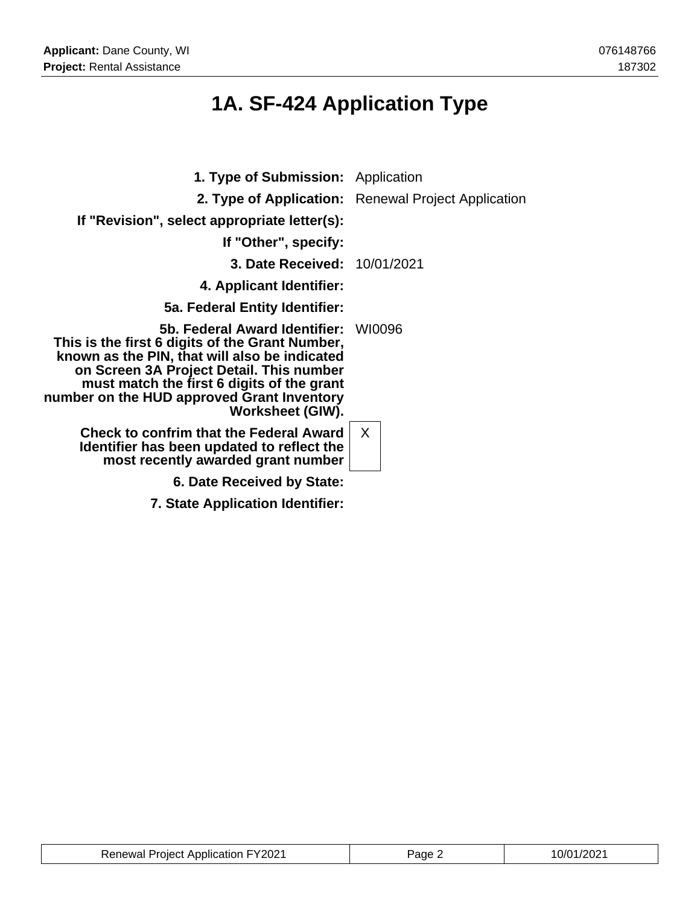# **1A. SF-424 Application Type**

| <b>1. Type of Submission:</b> Application                                                                                                                                                                                                                                                     |                                                     |
|-----------------------------------------------------------------------------------------------------------------------------------------------------------------------------------------------------------------------------------------------------------------------------------------------|-----------------------------------------------------|
|                                                                                                                                                                                                                                                                                               | 2. Type of Application: Renewal Project Application |
| If "Revision", select appropriate letter(s):                                                                                                                                                                                                                                                  |                                                     |
| If "Other", specify:                                                                                                                                                                                                                                                                          |                                                     |
| <b>3. Date Received: 10/01/2021</b>                                                                                                                                                                                                                                                           |                                                     |
| 4. Applicant Identifier:                                                                                                                                                                                                                                                                      |                                                     |
| 5a. Federal Entity Identifier:                                                                                                                                                                                                                                                                |                                                     |
| 5b. Federal Award Identifier:<br>This is the first 6 digits of the Grant Number,<br>known as the PIN, that will also be indicated<br>on Screen 3A Project Detail. This number<br>must match the first 6 digits of the grant<br>number on the HUD approved Grant Inventory<br>Worksheet (GIW). | WI0096                                              |
| <b>Check to confrim that the Federal Award</b><br>Identifier has been updated to reflect the<br>most recently awarded grant number                                                                                                                                                            | $\mathsf{X}$                                        |
| 6. Date Received by State:                                                                                                                                                                                                                                                                    |                                                     |
| 7. State Application Identifier:                                                                                                                                                                                                                                                              |                                                     |

| <b>Renewal Project Application FY2021</b> | Page 2 | 10/01/2021 |
|-------------------------------------------|--------|------------|
|-------------------------------------------|--------|------------|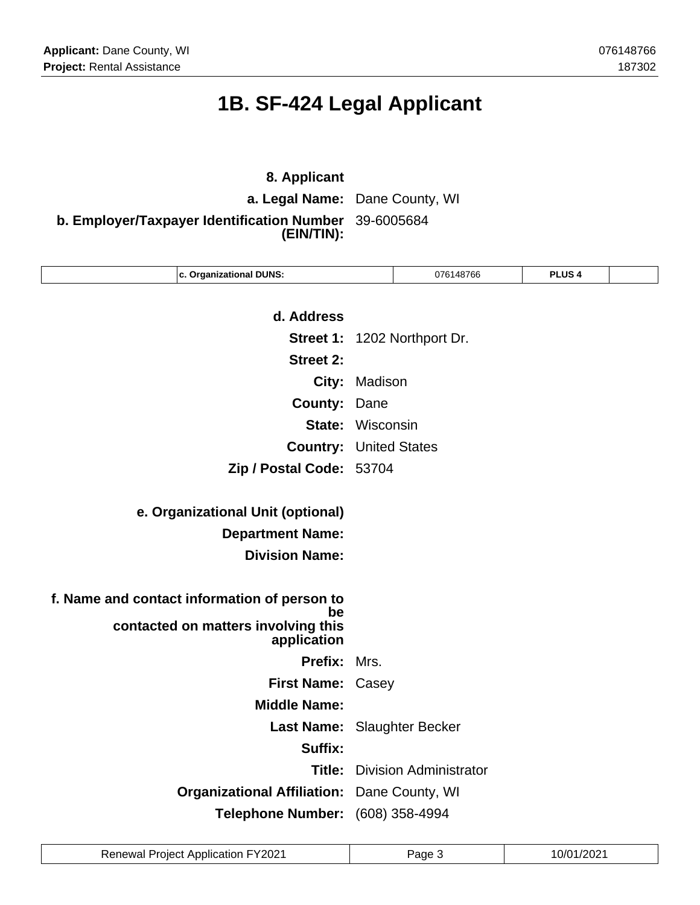# **1B. SF-424 Legal Applicant**

### **8. Applicant**

**a. Legal Name:** Dane County, WI

**b. Employer/Taxpayer Identification Number** 39-6005684 **(EIN/TIN):**

| c. Organizational DUNS:                            |                         | 076148766                     | PLUS <sub>4</sub> |  |
|----------------------------------------------------|-------------------------|-------------------------------|-------------------|--|
|                                                    |                         |                               |                   |  |
| d. Address                                         |                         |                               |                   |  |
|                                                    |                         | Street 1: 1202 Northport Dr.  |                   |  |
| <b>Street 2:</b>                                   |                         |                               |                   |  |
| City:                                              | Madison                 |                               |                   |  |
| County:                                            | Dane                    |                               |                   |  |
|                                                    | <b>State: Wisconsin</b> |                               |                   |  |
| <b>Country: United States</b>                      |                         |                               |                   |  |
| Zip / Postal Code: 53704                           |                         |                               |                   |  |
|                                                    |                         |                               |                   |  |
| e. Organizational Unit (optional)                  |                         |                               |                   |  |
| <b>Department Name:</b>                            |                         |                               |                   |  |
| <b>Division Name:</b>                              |                         |                               |                   |  |
|                                                    |                         |                               |                   |  |
| f. Name and contact information of person to<br>be |                         |                               |                   |  |
| contacted on matters involving this<br>application |                         |                               |                   |  |
| Prefix:                                            | Mrs.                    |                               |                   |  |
| First Name: Casey                                  |                         |                               |                   |  |
| <b>Middle Name:</b>                                |                         |                               |                   |  |
| Last Name: Slaughter Becker                        |                         |                               |                   |  |
| Suffix:                                            |                         |                               |                   |  |
| Title:                                             |                         | <b>Division Administrator</b> |                   |  |
| <b>Organizational Affiliation:</b> Dane County, WI |                         |                               |                   |  |
| Telephone Number: (608) 358-4994                   |                         |                               |                   |  |
|                                                    |                         |                               |                   |  |

| <b>Renewal Project Application FY2021</b> | Page 3 | 10/01/2021 |
|-------------------------------------------|--------|------------|
|-------------------------------------------|--------|------------|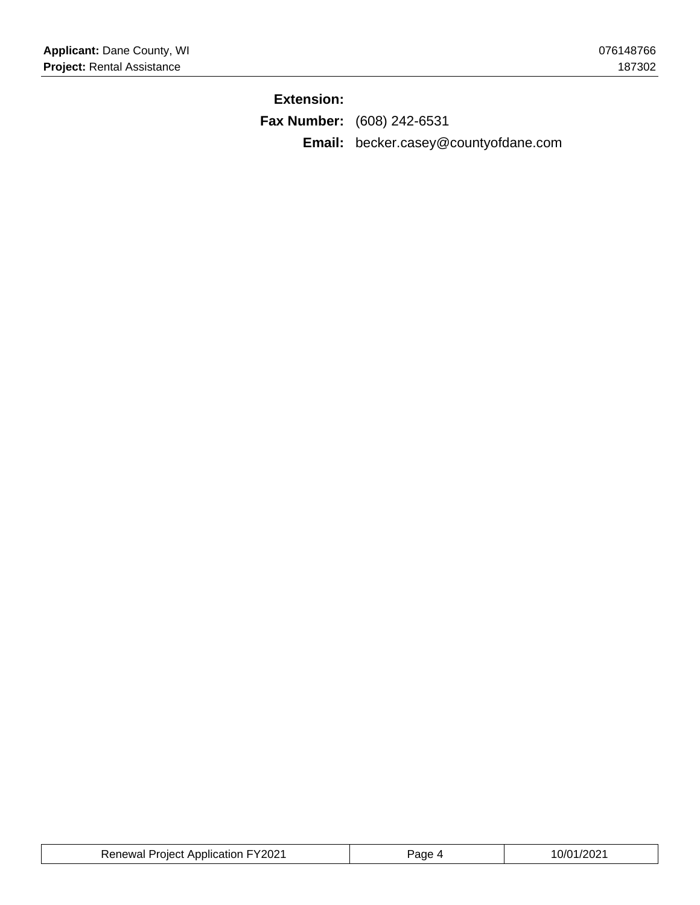**Extension:**

**Fax Number:** (608) 242-6531 **Email:** becker.casey@countyofdane.com

| <b>Renewal Project Application FY2021</b> | <sup>o</sup> aqe 4 | 10/01/2021 |
|-------------------------------------------|--------------------|------------|
|-------------------------------------------|--------------------|------------|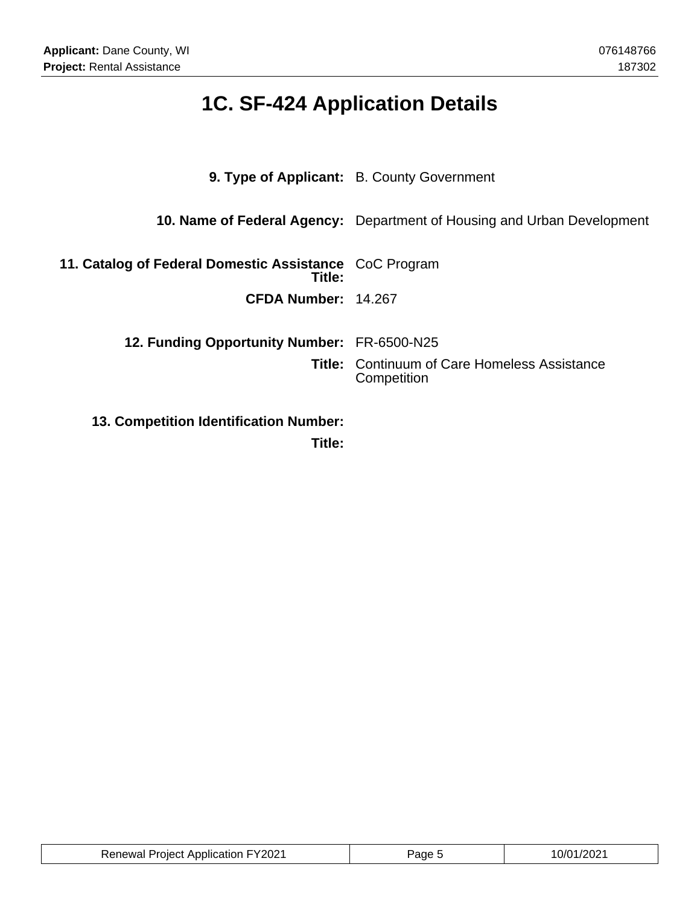# **1C. SF-424 Application Details**

|                                                                  | 9. Type of Applicant: B. County Government                                     |
|------------------------------------------------------------------|--------------------------------------------------------------------------------|
|                                                                  | <b>10. Name of Federal Agency:</b> Department of Housing and Urban Development |
| 11. Catalog of Federal Domestic Assistance CoC Program<br>Title: |                                                                                |
| CFDA Number: 14.267                                              |                                                                                |
| 12. Funding Opportunity Number: FR-6500-N25                      |                                                                                |
|                                                                  | <b>Title: Continuum of Care Homeless Assistance</b><br>Competition             |
| <b>13. Competition Identification Number:</b>                    |                                                                                |
|                                                                  |                                                                                |
| Title:                                                           |                                                                                |

| <b>Renewal Project Application FY2021</b> | Page | 10/01/2021 |
|-------------------------------------------|------|------------|
|-------------------------------------------|------|------------|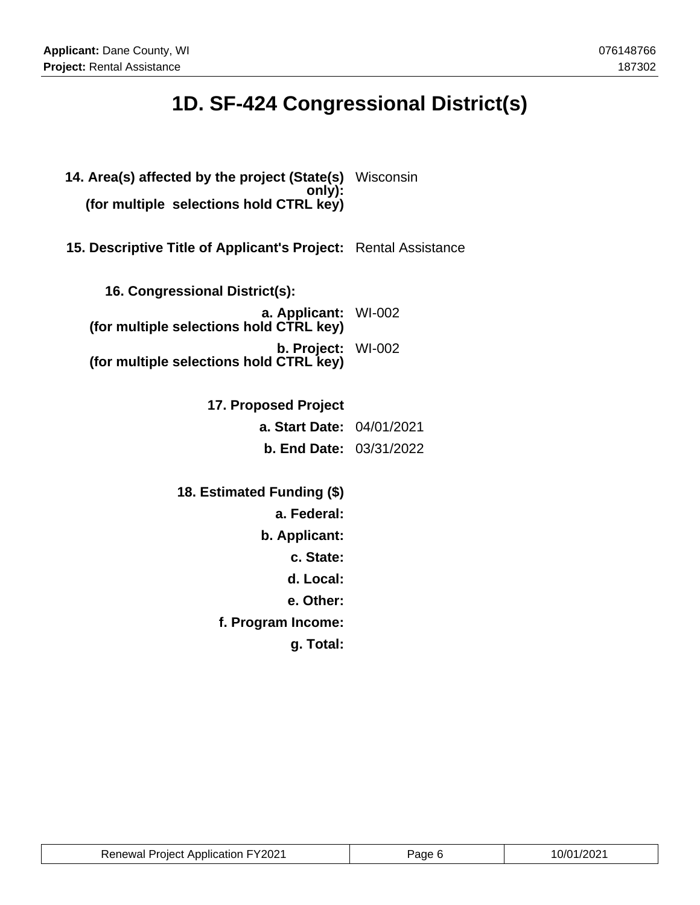# **1D. SF-424 Congressional District(s)**

| 14. Area(s) affected by the project (State(s)<br>only):<br>(for multiple selections hold CTRL key) | Wisconsin |
|----------------------------------------------------------------------------------------------------|-----------|
| 15. Descriptive Title of Applicant's Project: Rental Assistance                                    |           |
| 16. Congressional District(s):                                                                     |           |
| a. Applicant: WI-002<br>(for multiple selections hold CTRL key)                                    |           |
| b. Project: WI-002<br>(for multiple selections hold CTRL key)                                      |           |
|                                                                                                    |           |
| 17. Proposed Project                                                                               |           |
| a. Start Date: 04/01/2021                                                                          |           |
| <b>b. End Date: 03/31/2022</b>                                                                     |           |
| 18. Estimated Funding (\$)                                                                         |           |
| a. Federal:                                                                                        |           |
| b. Applicant:                                                                                      |           |
| c. State:                                                                                          |           |
| d. Local:                                                                                          |           |
| e. Other:                                                                                          |           |
| f. Program Income:                                                                                 |           |
| g. Total:                                                                                          |           |
|                                                                                                    |           |

| <b>Renewal Project Application FY2021</b> | Page 6 | 10/01/2021 |
|-------------------------------------------|--------|------------|
|-------------------------------------------|--------|------------|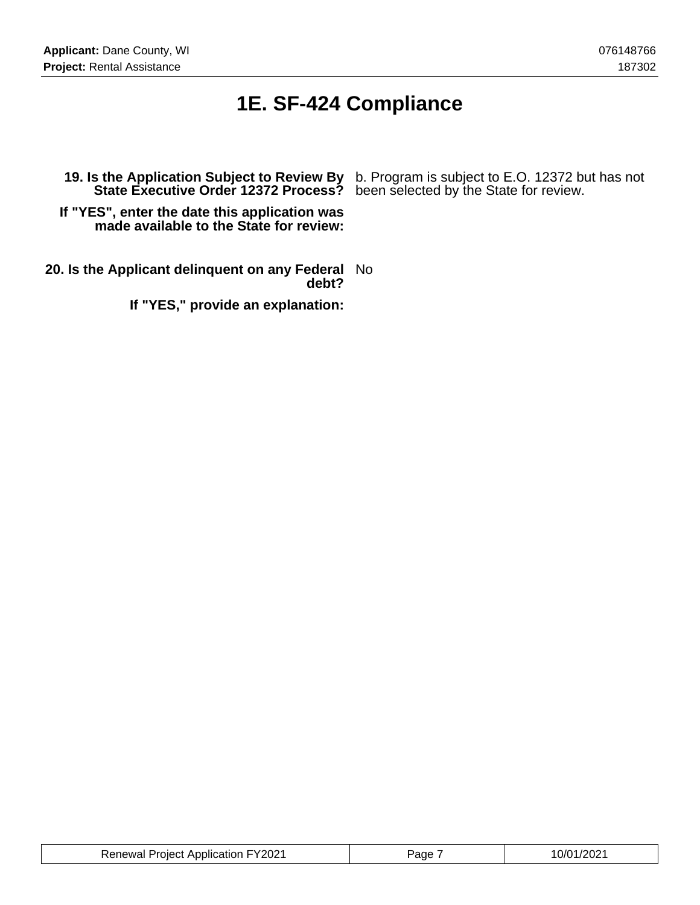# **1E. SF-424 Compliance**

**19. Is the Application Subject to Review By** b. Program is subject to E.O. 12372 but has not **State Executive Order 12372 Process?** been selected by the State for review.

**If "YES", enter the date this application was made available to the State for review:**

**20. Is the Applicant delinquent on any Federal** No **debt?**

**If "YES," provide an explanation:**

| <b>Renewal Project Application FY2021</b> | Page | 10/01/2021 |
|-------------------------------------------|------|------------|
|-------------------------------------------|------|------------|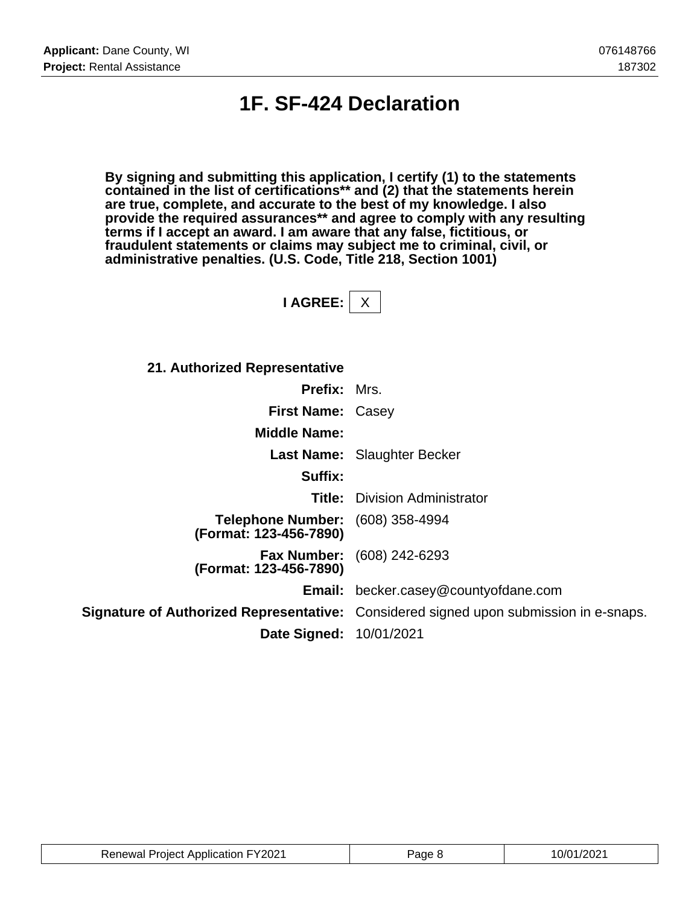# **1F. SF-424 Declaration**

**By signing and submitting this application, I certify (1) to the statements contained in the list of certifications\*\* and (2) that the statements herein are true, complete, and accurate to the best of my knowledge. I also provide the required assurances\*\* and agree to comply with any resulting terms if I accept an award. I am aware that any false, fictitious, or fraudulent statements or claims may subject me to criminal, civil, or administrative penalties. (U.S. Code, Title 218, Section 1001)**

**I AGREE:** X

**21. Authorized Representative**

| <b>Prefix: Mrs.</b>                                        |                                                                                              |
|------------------------------------------------------------|----------------------------------------------------------------------------------------------|
| <b>First Name: Casey</b>                                   |                                                                                              |
| <b>Middle Name:</b>                                        |                                                                                              |
|                                                            | <b>Last Name:</b> Slaughter Becker                                                           |
| Suffix:                                                    |                                                                                              |
|                                                            | <b>Title:</b> Division Administrator                                                         |
| Telephone Number: (608) 358-4994<br>(Format: 123-456-7890) |                                                                                              |
| (Format: 123-456-7890)                                     | <b>Fax Number:</b> (608) 242-6293                                                            |
|                                                            | <b>Email:</b> becker.casey@countyofdane.com                                                  |
|                                                            | <b>Signature of Authorized Representative:</b> Considered signed upon submission in e-snaps. |
| <b>Date Signed: 10/01/2021</b>                             |                                                                                              |

| <b>Renewal Project Application FY2021</b> | ane, | 10/01/2021 |
|-------------------------------------------|------|------------|
|-------------------------------------------|------|------------|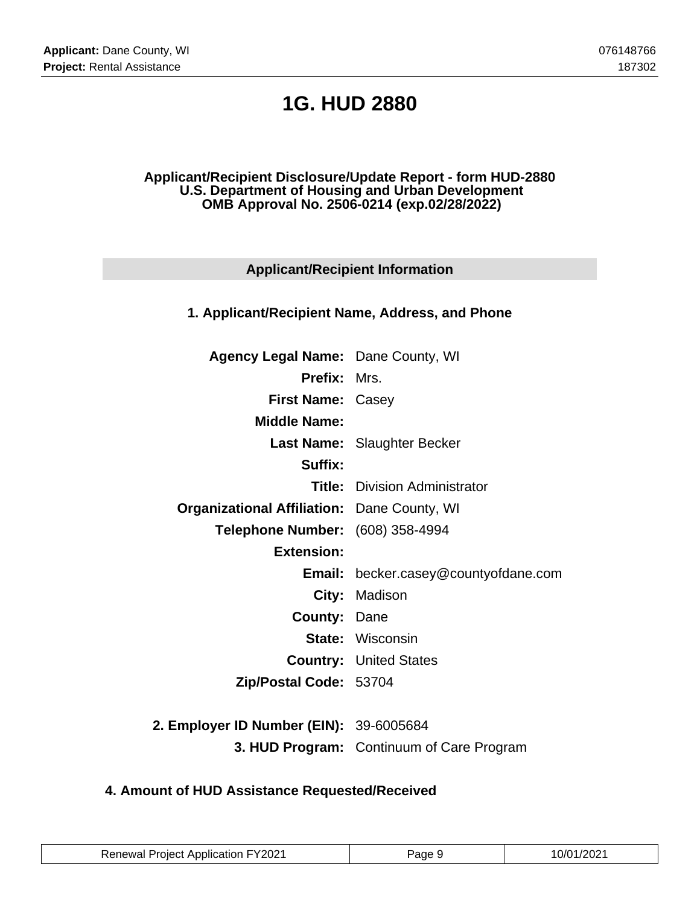# **1G. HUD 2880**

### **Applicant/Recipient Disclosure/Update Report - form HUD-2880 U.S. Department of Housing and Urban Development OMB Approval No. 2506-0214 (exp.02/28/2022)**

### **Applicant/Recipient Information**

### **1. Applicant/Recipient Name, Address, and Phone**

| <b>Agency Legal Name: Dane County, WI</b>          |                                             |
|----------------------------------------------------|---------------------------------------------|
| <b>Prefix: Mrs.</b>                                |                                             |
| <b>First Name: Casey</b>                           |                                             |
| <b>Middle Name:</b>                                |                                             |
|                                                    | <b>Last Name:</b> Slaughter Becker          |
| Suffix:                                            |                                             |
|                                                    | <b>Title:</b> Division Administrator        |
| <b>Organizational Affiliation: Dane County, WI</b> |                                             |
| Telephone Number: (608) 358-4994                   |                                             |
| <b>Extension:</b>                                  |                                             |
|                                                    | <b>Email:</b> becker.casey@countyofdane.com |
| City:                                              | Madison                                     |
| <b>County: Dane</b>                                |                                             |
|                                                    | <b>State: Wisconsin</b>                     |
|                                                    | <b>Country: United States</b>               |
| Zip/Postal Code: 53704                             |                                             |
|                                                    |                                             |
| <b>2. Employer ID Number (EIN): 39-6005684</b>     |                                             |

**3. HUD Program:** Continuum of Care Program

### **4. Amount of HUD Assistance Requested/Received**

| <b>Renewal Project Application FY2021</b> | Page 9 | 10/01/2021 |
|-------------------------------------------|--------|------------|
|-------------------------------------------|--------|------------|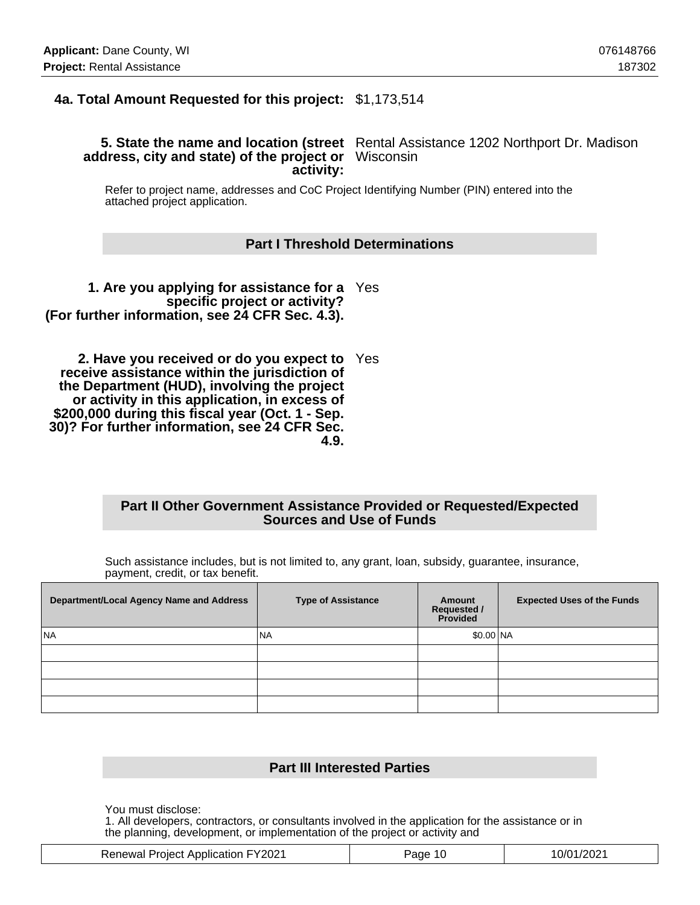### **4a. Total Amount Requested for this project:** \$1,173,514

#### **5. State the name and location (street** Rental Assistance 1202 Northport Dr. Madison **address, city and state) of the project or** Wisconsin **activity:**

Refer to project name, addresses and CoC Project Identifying Number (PIN) entered into the attached project application.

### **Part I Threshold Determinations**

**1. Are you applying for assistance for a** Yes **specific project or activity? (For further information, see 24 CFR Sec. 4.3).**

**2. Have you received or do you expect to** Yes **receive assistance within the jurisdiction of the Department (HUD), involving the project or activity in this application, in excess of \$200,000 during this fiscal year (Oct. 1 - Sep. 30)? For further information, see 24 CFR Sec. 4.9.**

#### **Part II Other Government Assistance Provided or Requested/Expected Sources and Use of Funds**

Such assistance includes, but is not limited to, any grant, loan, subsidy, guarantee, insurance, payment, credit, or tax benefit.

| Department/Local Agency Name and Address | <b>Type of Assistance</b> | Amount<br><b>Requested /<br/>Provided</b> | <b>Expected Uses of the Funds</b> |
|------------------------------------------|---------------------------|-------------------------------------------|-----------------------------------|
| NA                                       | <b>NA</b>                 | \$0.00 NA                                 |                                   |
|                                          |                           |                                           |                                   |
|                                          |                           |                                           |                                   |
|                                          |                           |                                           |                                   |
|                                          |                           |                                           |                                   |

### **Part III Interested Parties**

You must disclose:

1. All developers, contractors, or consultants involved in the application for the assistance or in the planning, development, or implementation of the project or activity and

| <b>Renewal Project Application FY2021</b> | Page 10 | 10/01/2021 |
|-------------------------------------------|---------|------------|
|-------------------------------------------|---------|------------|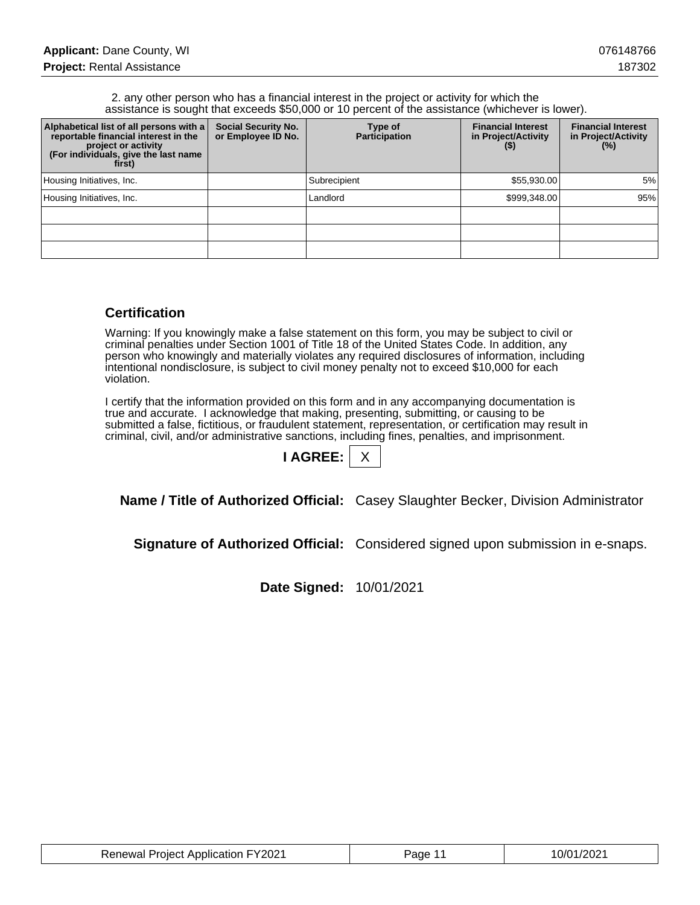#### 2. any other person who has a financial interest in the project or activity for which the assistance is sought that exceeds \$50,000 or 10 percent of the assistance (whichever is lower).

| Alphabetical list of all persons with a<br>reportable financial interest in the<br>project or activity<br>(For individuals, give the last name<br>first) | <b>Social Security No.</b><br>or Employee ID No. | Type of<br><b>Participation</b> | <b>Financial Interest</b><br>in Project/Activity<br>$($ \$) | <b>Financial Interest</b><br>in Project/Activity<br>(%) |
|----------------------------------------------------------------------------------------------------------------------------------------------------------|--------------------------------------------------|---------------------------------|-------------------------------------------------------------|---------------------------------------------------------|
| Housing Initiatives, Inc.                                                                                                                                |                                                  | Subrecipient                    | \$55,930.00                                                 | 5%                                                      |
| Housing Initiatives, Inc.                                                                                                                                |                                                  | Landlord                        | \$999,348.00                                                | 95%                                                     |
|                                                                                                                                                          |                                                  |                                 |                                                             |                                                         |
|                                                                                                                                                          |                                                  |                                 |                                                             |                                                         |
|                                                                                                                                                          |                                                  |                                 |                                                             |                                                         |

### **Certification**

Warning: If you knowingly make a false statement on this form, you may be subject to civil or criminal penalties under Section 1001 of Title 18 of the United States Code. In addition, any person who knowingly and materially violates any required disclosures of information, including intentional nondisclosure, is subject to civil money penalty not to exceed \$10,000 for each violation.

I certify that the information provided on this form and in any accompanying documentation is true and accurate. I acknowledge that making, presenting, submitting, or causing to be submitted a false, fictitious, or fraudulent statement, representation, or certification may result in criminal, civil, and/or administrative sanctions, including fines, penalties, and imprisonment.

| I AGREE: |  |
|----------|--|
|----------|--|

**Name / Title of Authorized Official:** Casey Slaughter Becker, Division Administrator

**Signature of Authorized Official:** Considered signed upon submission in e-snaps.

**Date Signed:** 10/01/2021

| <b>Renewal Project Application FY2021</b> | Page 11 | 10/01/2021 |
|-------------------------------------------|---------|------------|
|-------------------------------------------|---------|------------|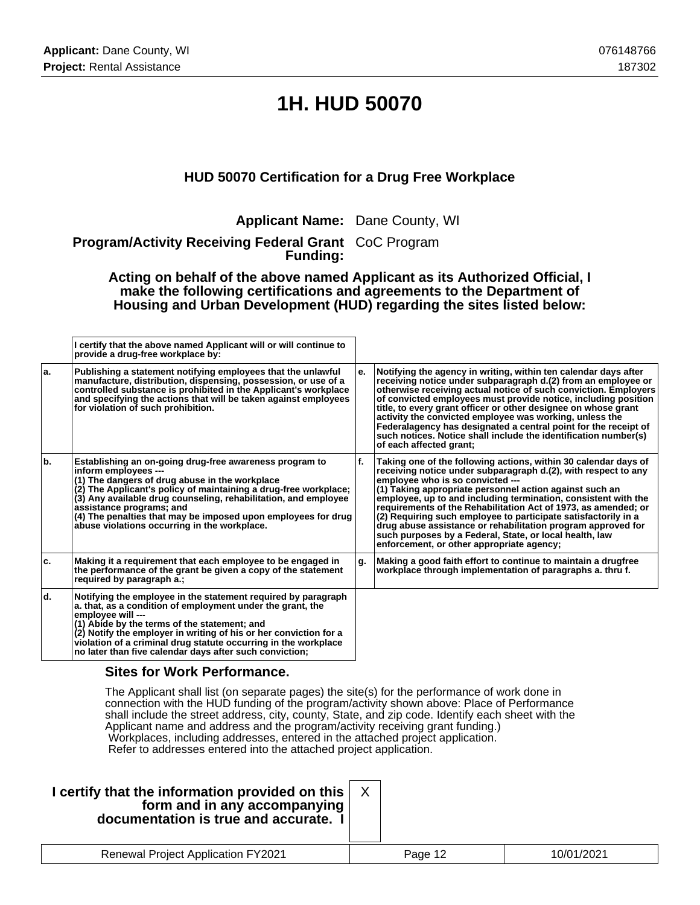# **1H. HUD 50070**

### **HUD 50070 Certification for a Drug Free Workplace**

**Applicant Name:** Dane County, WI

**Program/Activity Receiving Federal Grant** CoC Program **Funding:**

**Acting on behalf of the above named Applicant as its Authorized Official, I make the following certifications and agreements to the Department of Housing and Urban Development (HUD) regarding the sites listed below:**

|     | I certify that the above named Applicant will or will continue to<br>provide a drug-free workplace by:                                                                                                                                                                                                                                                                                                                |    |                                                                                                                                                                                                                                                                                                                                                                                                                                                                                                                                                                                                                |
|-----|-----------------------------------------------------------------------------------------------------------------------------------------------------------------------------------------------------------------------------------------------------------------------------------------------------------------------------------------------------------------------------------------------------------------------|----|----------------------------------------------------------------------------------------------------------------------------------------------------------------------------------------------------------------------------------------------------------------------------------------------------------------------------------------------------------------------------------------------------------------------------------------------------------------------------------------------------------------------------------------------------------------------------------------------------------------|
| ۱a. | Publishing a statement notifying employees that the unlawful<br>manufacture, distribution, dispensing, possession, or use of a<br>controlled substance is prohibited in the Applicant's workplace<br>and specifying the actions that will be taken against employees<br>for violation of such prohibition.                                                                                                            | е. | Notifying the agency in writing, within ten calendar days after<br>receiving notice under subparagraph d.(2) from an employee or<br>otherwise receiving actual notice of such conviction. Employers<br>of convicted employees must provide notice, including position<br>title, to every grant officer or other designee on whose grant<br>activity the convicted employee was working, unless the<br>Federalagency has designated a central point for the receipt of<br>such notices. Notice shall include the identification number(s)<br>of each affected grant;                                            |
| ١b. | Establishing an on-going drug-free awareness program to<br>inform employees ---<br>(1) The dangers of drug abuse in the workplace<br>(2) The Applicant's policy of maintaining a drug-free workplace;<br>(3) Any available drug counseling, rehabilitation, and employee<br>assistance programs; and<br>(4) The penalties that may be imposed upon employees for drug<br>abuse violations occurring in the workplace. | f. | Taking one of the following actions, within 30 calendar days of<br>receiving notice under subparagraph d.(2), with respect to any<br>emplovee who is so convicted ---<br>(1) Taking appropriate personnel action against such an<br>employee, up to and including termination, consistent with the<br>requirements of the Rehabilitation Act of 1973, as amended; or<br>(2) Requiring such employee to participate satisfactorily in a<br>drug abuse assistance or rehabilitation program approved for<br>such purposes by a Federal, State, or local health, law<br>enforcement, or other appropriate agency; |
| ۱c. | Making it a requirement that each employee to be engaged in<br>the performance of the grant be given a copy of the statement<br>required by paragraph a.;                                                                                                                                                                                                                                                             | g. | Making a good faith effort to continue to maintain a drugfree<br>workplace through implementation of paragraphs a, thru f.                                                                                                                                                                                                                                                                                                                                                                                                                                                                                     |
| ld. | Notifying the employee in the statement required by paragraph<br>a. that, as a condition of employment under the grant, the<br>emplovee will ---<br>(1) Abide by the terms of the statement; and<br>(2) Notify the employer in writing of his or her conviction for a<br>violation of a criminal drug statute occurring in the workplace<br>no later than five calendar days after such conviction;                   |    |                                                                                                                                                                                                                                                                                                                                                                                                                                                                                                                                                                                                                |

### **Sites for Work Performance.**

The Applicant shall list (on separate pages) the site(s) for the performance of work done in connection with the HUD funding of the program/activity shown above: Place of Performance shall include the street address, city, county, State, and zip code. Identify each sheet with the Applicant name and address and the program/activity receiving grant funding.) Workplaces, including addresses, entered in the attached project application. Refer to addresses entered into the attached project application.

| I certify that the information provided on this<br>form and in any accompanying<br>documentation is true and accurate. I |         |            |
|--------------------------------------------------------------------------------------------------------------------------|---------|------------|
| <b>Renewal Project Application FY2021</b>                                                                                | Page 12 | 10/01/2021 |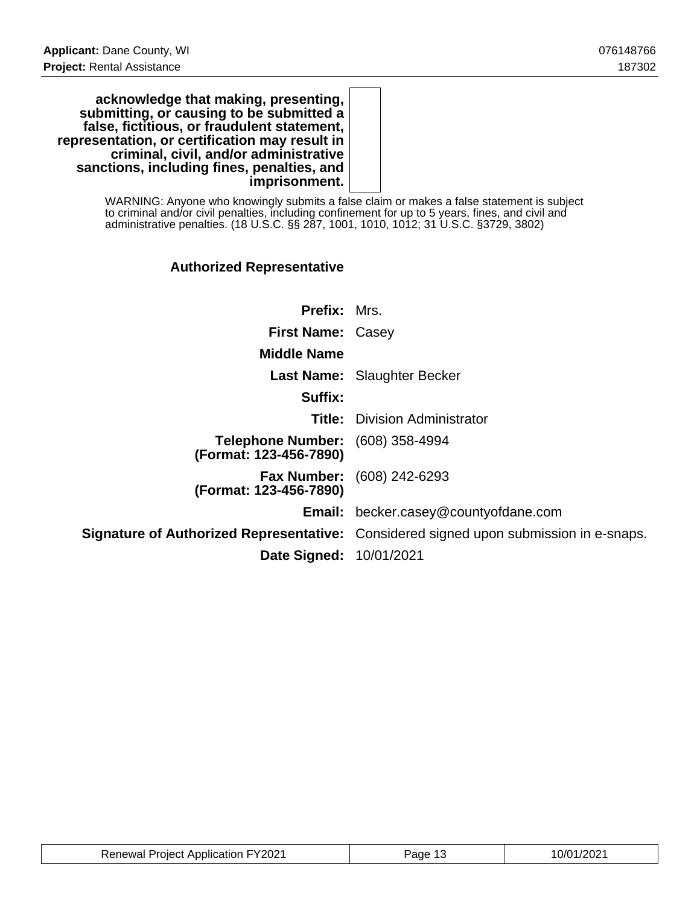**acknowledge that making, presenting, submitting, or causing to be submitted a false, fictitious, or fraudulent statement, representation, or certification may result in criminal, civil, and/or administrative sanctions, including fines, penalties, and imprisonment.**

> WARNING: Anyone who knowingly submits a false claim or makes a false statement is subject to criminal and/or civil penalties, including confinement for up to 5 years, fines, and civil and administrative penalties. (18 U.S.C. §§ 287, 1001, 1010, 1012; 31 U.S.C. §3729, 3802)

### **Authorized Representative**

| <b>Prefix: Mrs.</b>                                               |                                                                                              |
|-------------------------------------------------------------------|----------------------------------------------------------------------------------------------|
| <b>First Name: Casey</b>                                          |                                                                                              |
| <b>Middle Name</b>                                                |                                                                                              |
|                                                                   | <b>Last Name:</b> Slaughter Becker                                                           |
| Suffix:                                                           |                                                                                              |
|                                                                   | <b>Title:</b> Division Administrator                                                         |
| <b>Telephone Number:</b> (608) 358-4994<br>(Format: 123-456-7890) |                                                                                              |
| (Format: 123-456-7890)                                            | <b>Fax Number:</b> (608) 242-6293                                                            |
|                                                                   | <b>Email:</b> becker.casey@countyofdane.com                                                  |
|                                                                   | <b>Signature of Authorized Representative:</b> Considered signed upon submission in e-snaps. |
| <b>Date Signed: 10/01/2021</b>                                    |                                                                                              |

| <b>Renewal Project Application FY2021</b> | Page 13 | 10/01/2021 |
|-------------------------------------------|---------|------------|
|-------------------------------------------|---------|------------|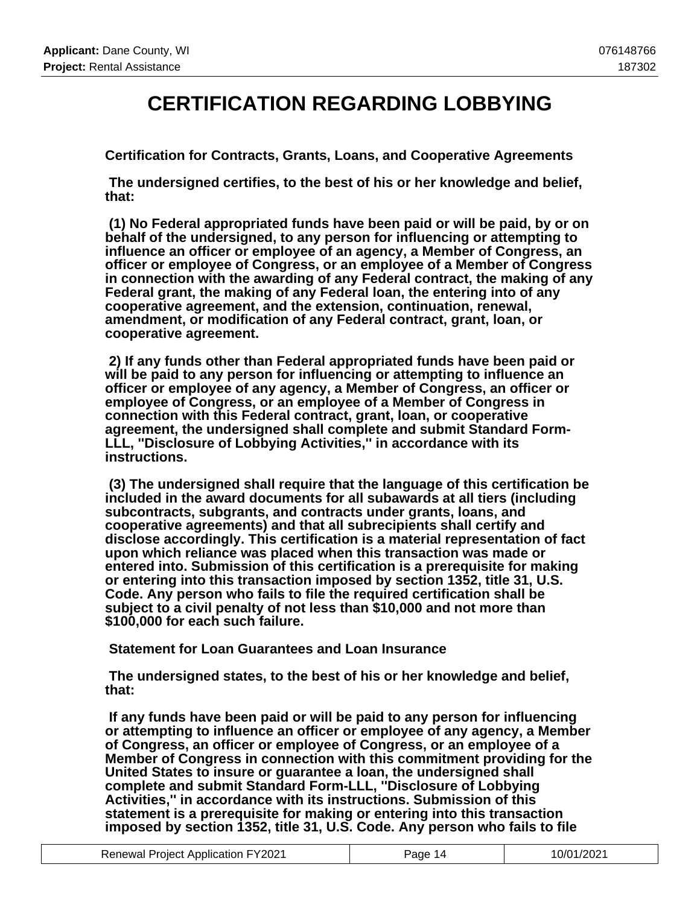# **CERTIFICATION REGARDING LOBBYING**

**Certification for Contracts, Grants, Loans, and Cooperative Agreements**

 **The undersigned certifies, to the best of his or her knowledge and belief, that:**

 **(1) No Federal appropriated funds have been paid or will be paid, by or on behalf of the undersigned, to any person for influencing or attempting to influence an officer or employee of an agency, a Member of Congress, an officer or employee of Congress, or an employee of a Member of Congress in connection with the awarding of any Federal contract, the making of any Federal grant, the making of any Federal loan, the entering into of any cooperative agreement, and the extension, continuation, renewal, amendment, or modification of any Federal contract, grant, loan, or cooperative agreement.**

 **2) If any funds other than Federal appropriated funds have been paid or will be paid to any person for influencing or attempting to influence an officer or employee of any agency, a Member of Congress, an officer or employee of Congress, or an employee of a Member of Congress in connection with this Federal contract, grant, loan, or cooperative agreement, the undersigned shall complete and submit Standard Form-LLL, ''Disclosure of Lobbying Activities,'' in accordance with its instructions.**

 **(3) The undersigned shall require that the language of this certification be included in the award documents for all subawards at all tiers (including subcontracts, subgrants, and contracts under grants, loans, and cooperative agreements) and that all subrecipients shall certify and disclose accordingly. This certification is a material representation of fact upon which reliance was placed when this transaction was made or entered into. Submission of this certification is a prerequisite for making or entering into this transaction imposed by section 1352, title 31, U.S. Code. Any person who fails to file the required certification shall be subject to a civil penalty of not less than \$10,000 and not more than \$100,000 for each such failure.**

 **Statement for Loan Guarantees and Loan Insurance**

 **The undersigned states, to the best of his or her knowledge and belief, that:**

 **If any funds have been paid or will be paid to any person for influencing or attempting to influence an officer or employee of any agency, a Member of Congress, an officer or employee of Congress, or an employee of a Member of Congress in connection with this commitment providing for the United States to insure or guarantee a loan, the undersigned shall complete and submit Standard Form-LLL, ''Disclosure of Lobbying Activities,'' in accordance with its instructions. Submission of this statement is a prerequisite for making or entering into this transaction imposed by section 1352, title 31, U.S. Code. Any person who fails to file**

| <b>Renewal Project Application FY2021</b> | Page 14 | 10/01/2021 |
|-------------------------------------------|---------|------------|
|-------------------------------------------|---------|------------|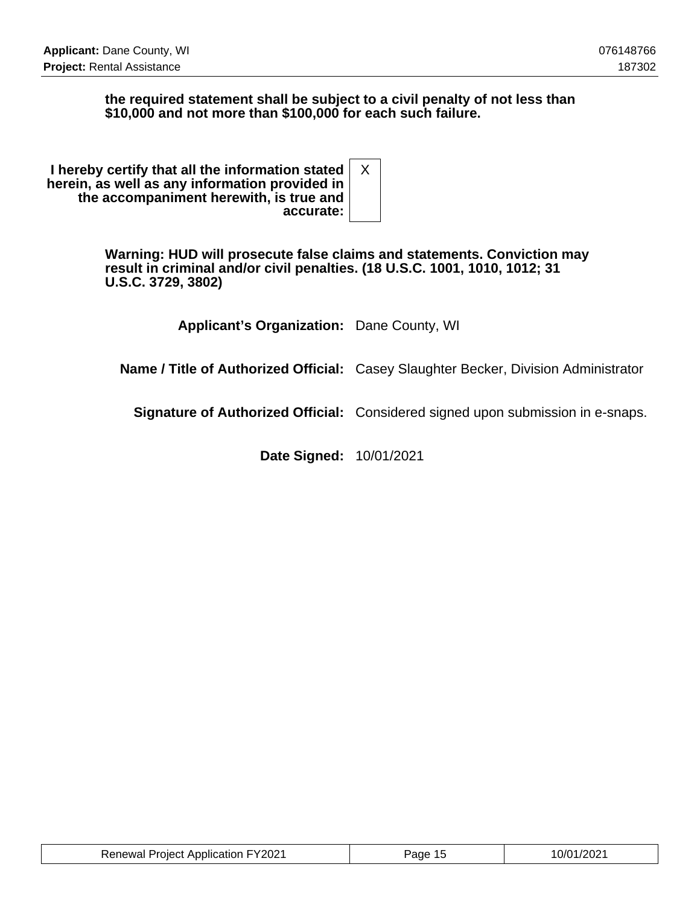### **the required statement shall be subject to a civil penalty of not less than \$10,000 and not more than \$100,000 for each such failure.**

**I hereby certify that all the information stated herein, as well as any information provided in the accompaniment herewith, is true and accurate:** X

> **Warning: HUD will prosecute false claims and statements. Conviction may result in criminal and/or civil penalties. (18 U.S.C. 1001, 1010, 1012; 31 U.S.C. 3729, 3802)**

> > **Applicant's Organization:** Dane County, WI

**Name / Title of Authorized Official:** Casey Slaughter Becker, Division Administrator

**Signature of Authorized Official:** Considered signed upon submission in e-snaps.

**Date Signed:** 10/01/2021

| <b>Renewal Project Application FY2021</b> | Page 15 | 10/01/2021 |
|-------------------------------------------|---------|------------|
|-------------------------------------------|---------|------------|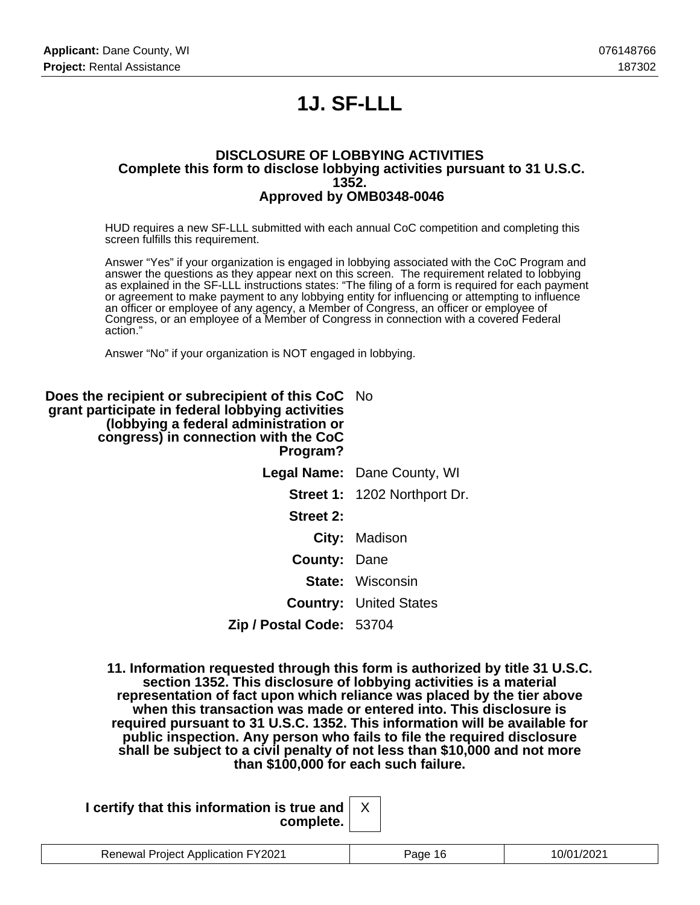# **1J. SF-LLL**

#### **DISCLOSURE OF LOBBYING ACTIVITIES Complete this form to disclose lobbying activities pursuant to 31 U.S.C. 1352. Approved by OMB0348-0046**

HUD requires a new SF-LLL submitted with each annual CoC competition and completing this screen fulfills this requirement.

Answer "Yes" if your organization is engaged in lobbying associated with the CoC Program and answer the questions as they appear next on this screen. The requirement related to lobbying as explained in the SF-LLL instructions states: "The filing of a form is required for each payment or agreement to make payment to any lobbying entity for influencing or attempting to influence an officer or employee of any agency, a Member of Congress, an officer or employee of Congress, or an employee of a Member of Congress in connection with a covered Federal action."

Answer "No" if your organization is NOT engaged in lobbying.

| <b>Does the recipient or subrecipient of this CoC</b> No<br>grant participate in federal lobbying activities<br>(lobbying a federal administration or<br>congress) in connection with the CoC<br>Program? |                                    |
|-----------------------------------------------------------------------------------------------------------------------------------------------------------------------------------------------------------|------------------------------------|
|                                                                                                                                                                                                           | <b>Legal Name:</b> Dane County, WI |
|                                                                                                                                                                                                           | Street 1: 1202 Northport Dr.       |
| <b>Street 2:</b>                                                                                                                                                                                          |                                    |
|                                                                                                                                                                                                           | City: Madison                      |
| <b>County: Dane</b>                                                                                                                                                                                       |                                    |
|                                                                                                                                                                                                           | <b>State: Wisconsin</b>            |
|                                                                                                                                                                                                           | <b>Country: United States</b>      |
| Zip / Postal Code: 53704                                                                                                                                                                                  |                                    |

**11. Information requested through this form is authorized by title 31 U.S.C. section 1352. This disclosure of lobbying activities is a material representation of fact upon which reliance was placed by the tier above when this transaction was made or entered into. This disclosure is required pursuant to 31 U.S.C. 1352. This information will be available for public inspection. Any person who fails to file the required disclosure shall be subject to a civil penalty of not less than \$10,000 and not more than \$100,000 for each such failure.**

| I certify that this information is true and $\vert$ |  |
|-----------------------------------------------------|--|
| complete. $ $                                       |  |

| . | Project Application FY2021<br>Renewal |  |  |
|---|---------------------------------------|--|--|
|---|---------------------------------------|--|--|

X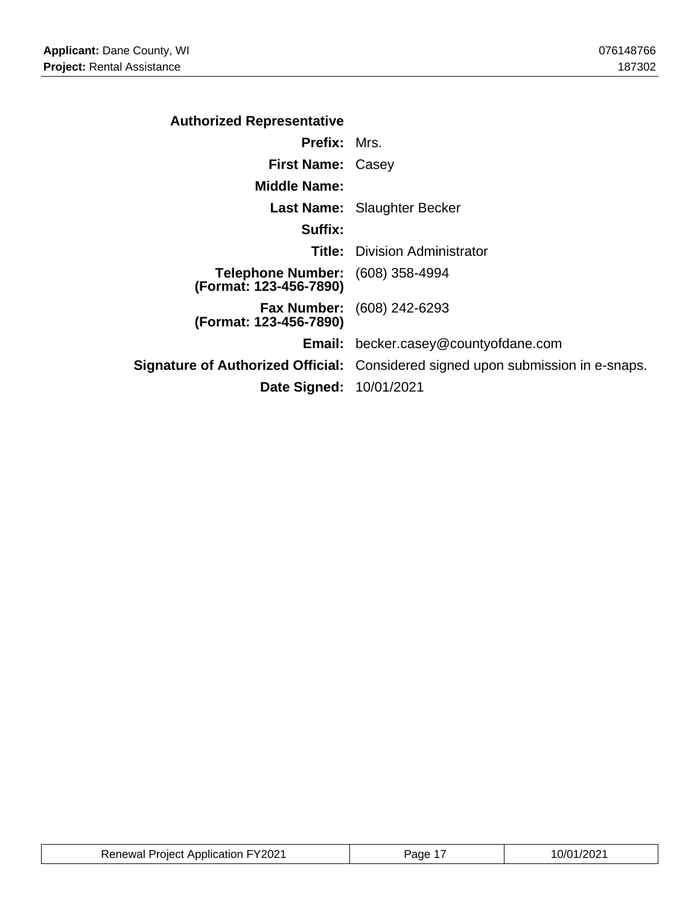| <b>Authorized Representative</b>                                  |                                                                                        |
|-------------------------------------------------------------------|----------------------------------------------------------------------------------------|
| <b>Prefix: Mrs.</b>                                               |                                                                                        |
| <b>First Name: Casey</b>                                          |                                                                                        |
| <b>Middle Name:</b>                                               |                                                                                        |
|                                                                   | <b>Last Name:</b> Slaughter Becker                                                     |
| Suffix:                                                           |                                                                                        |
|                                                                   | <b>Title:</b> Division Administrator                                                   |
| <b>Telephone Number:</b> (608) 358-4994<br>(Format: 123-456-7890) |                                                                                        |
| (Format: 123-456-7890)                                            | <b>Fax Number:</b> (608) 242-6293                                                      |
|                                                                   | Email: becker.casey@countyofdane.com                                                   |
|                                                                   | <b>Signature of Authorized Official:</b> Considered signed upon submission in e-snaps. |
| <b>Date Signed: 10/01/2021</b>                                    |                                                                                        |

| <b>Renewal Project Application FY2021</b> | Page | 10/01/2021 |
|-------------------------------------------|------|------------|
|-------------------------------------------|------|------------|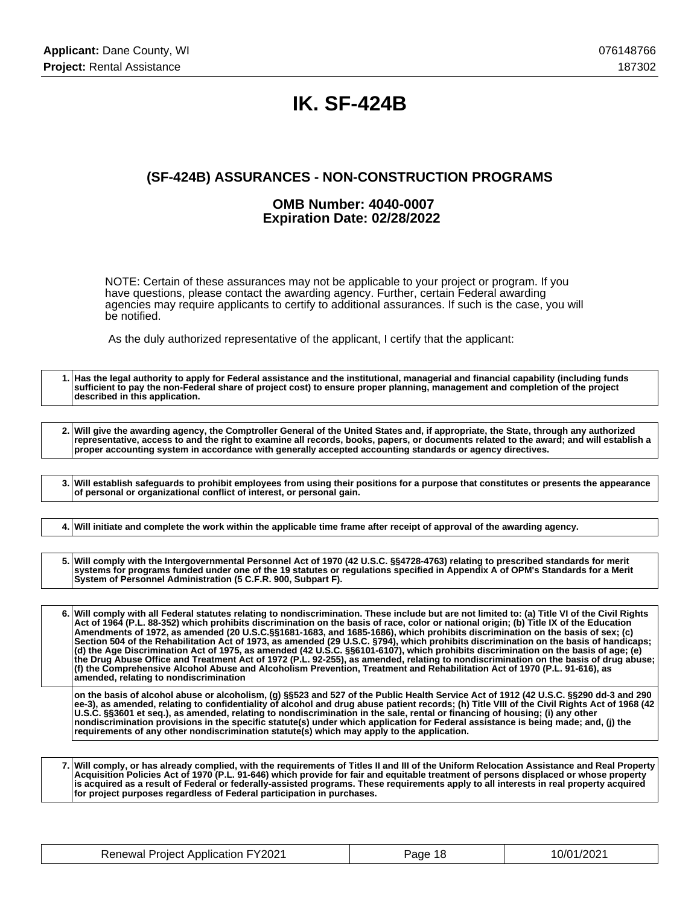# **IK. SF-424B**

### **(SF-424B) ASSURANCES - NON-CONSTRUCTION PROGRAMS**

### **OMB Number: 4040-0007 Expiration Date: 02/28/2022**

NOTE: Certain of these assurances may not be applicable to your project or program. If you have questions, please contact the awarding agency. Further, certain Federal awarding agencies may require applicants to certify to additional assurances. If such is the case, you will be notified.

As the duly authorized representative of the applicant, I certify that the applicant:

**1. Has the legal authority to apply for Federal assistance and the institutional, managerial and financial capability (including funds sufficient to pay the non-Federal share of project cost) to ensure proper planning, management and completion of the project described in this application. 2. Will give the awarding agency, the Comptroller General of the United States and, if appropriate, the State, through any authorized representative, access to and the right to examine all records, books, papers, or documents related to the award; and will establish a proper accounting system in accordance with generally accepted accounting standards or agency directives. 3. Will establish safeguards to prohibit employees from using their positions for a purpose that constitutes or presents the appearance of personal or organizational conflict of interest, or personal gain. 4. Will initiate and complete the work within the applicable time frame after receipt of approval of the awarding agency. 5. Will comply with the Intergovernmental Personnel Act of 1970 (42 U.S.C. §§4728-4763) relating to prescribed standards for merit systems for programs funded under one of the 19 statutes or regulations specified in Appendix A of OPM's Standards for a Merit System of Personnel Administration (5 C.F.R. 900, Subpart F). 6. Will comply with all Federal statutes relating to nondiscrimination. These include but are not limited to: (a) Title VI of the Civil Rights Act of 1964 (P.L. 88-352) which prohibits discrimination on the basis of race, color or national origin; (b) Title IX of the Education Amendments of 1972, as amended (20 U.S.C.§§1681-1683, and 1685-1686), which prohibits discrimination on the basis of sex; (c) Section 504 of the Rehabilitation Act of 1973, as amended (29 U.S.C. §794), which prohibits discrimination on the basis of handicaps; (d) the Age Discrimination Act of 1975, as amended (42 U.S.C. §§6101-6107), which prohibits discrimination on the basis of age; (e) the Drug Abuse Office and Treatment Act of 1972 (P.L. 92-255), as amended, relating to nondiscrimination on the basis of drug abuse; (f) the Comprehensive Alcohol Abuse and Alcoholism Prevention, Treatment and Rehabilitation Act of 1970 (P.L. 91-616), as amended, relating to nondiscrimination on the basis of alcohol abuse or alcoholism, (g) §§523 and 527 of the Public Health Service Act of 1912 (42 U.S.C. §§290 dd-3 and 290 ee-3), as amended, relating to confidentiality of alcohol and drug abuse patient records; (h) Title VIII of the Civil Rights Act of 1968 (42 U.S.C. §§3601 et seq.), as amended, relating to nondiscrimination in the sale, rental or financing of housing; (i) any other nondiscrimination provisions in the specific statute(s) under which application for Federal assistance is being made; and, (j) the requirements of any other nondiscrimination statute(s) which may apply to the application.**

**7. Will comply, or has already complied, with the requirements of Titles II and III of the Uniform Relocation Assistance and Real Property Acquisition Policies Act of 1970 (P.L. 91-646) which provide for fair and equitable treatment of persons displaced or whose property is acquired as a result of Federal or federally-assisted programs. These requirements apply to all interests in real property acquired for project purposes regardless of Federal participation in purchases.**

| <b>Renewal Project Application FY2021</b> | Page 18 | 10/01/2021 |
|-------------------------------------------|---------|------------|
|-------------------------------------------|---------|------------|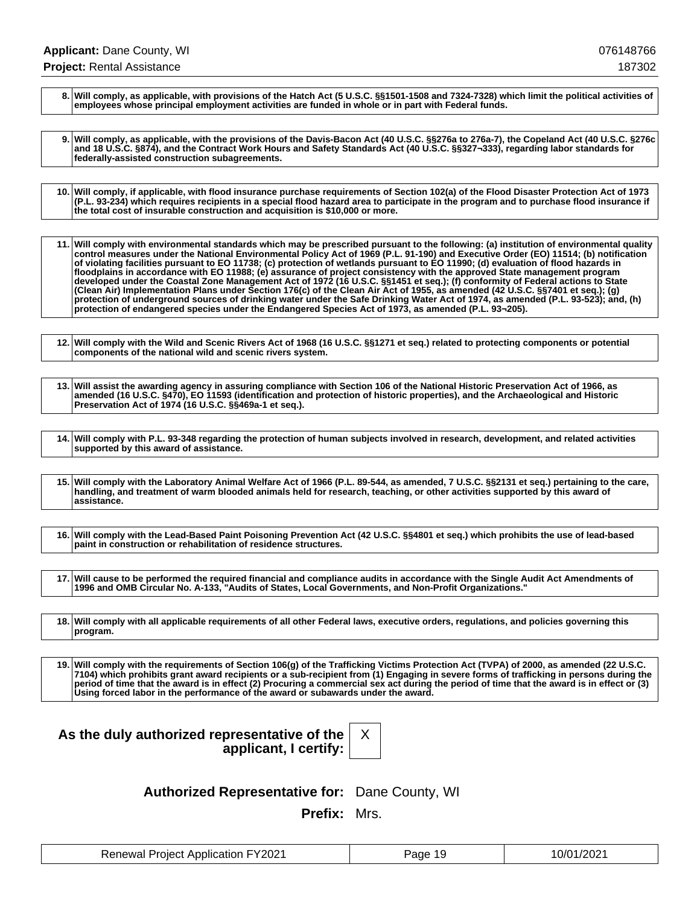**8. Will comply, as applicable, with provisions of the Hatch Act (5 U.S.C. §§1501-1508 and 7324-7328) which limit the political activities of employees whose principal employment activities are funded in whole or in part with Federal funds.**

**9. Will comply, as applicable, with the provisions of the Davis-Bacon Act (40 U.S.C. §§276a to 276a-7), the Copeland Act (40 U.S.C. §276c and 18 U.S.C. §874), and the Contract Work Hours and Safety Standards Act (40 U.S.C. §§327¬333), regarding labor standards for federally-assisted construction subagreements.**

**10. Will comply, if applicable, with flood insurance purchase requirements of Section 102(a) of the Flood Disaster Protection Act of 1973 (P.L. 93-234) which requires recipients in a special flood hazard area to participate in the program and to purchase flood insurance if the total cost of insurable construction and acquisition is \$10,000 or more.**

**11. Will comply with environmental standards which may be prescribed pursuant to the following: (a) institution of environmental quality control measures under the National Environmental Policy Act of 1969 (P.L. 91-190) and Executive Order (EO) 11514; (b) notification of violating facilities pursuant to EO 11738; (c) protection of wetlands pursuant to EO 11990; (d) evaluation of flood hazards in floodplains in accordance with EO 11988; (e) assurance of project consistency with the approved State management program developed under the Coastal Zone Management Act of 1972 (16 U.S.C. §§1451 et seq.); (f) conformity of Federal actions to State (Clean Air) Implementation Plans under Section 176(c) of the Clean Air Act of 1955, as amended (42 U.S.C. §§7401 et seq.); (g) protection of underground sources of drinking water under the Safe Drinking Water Act of 1974, as amended (P.L. 93-523); and, (h) protection of endangered species under the Endangered Species Act of 1973, as amended (P.L. 93¬205).**

**12. Will comply with the Wild and Scenic Rivers Act of 1968 (16 U.S.C. §§1271 et seq.) related to protecting components or potential components of the national wild and scenic rivers system.**

**13. Will assist the awarding agency in assuring compliance with Section 106 of the National Historic Preservation Act of 1966, as amended (16 U.S.C. §470), EO 11593 (identification and protection of historic properties), and the Archaeological and Historic Preservation Act of 1974 (16 U.S.C. §§469a-1 et seq.).**

**14. Will comply with P.L. 93-348 regarding the protection of human subjects involved in research, development, and related activities supported by this award of assistance.**

**15. Will comply with the Laboratory Animal Welfare Act of 1966 (P.L. 89-544, as amended, 7 U.S.C. §§2131 et seq.) pertaining to the care, handling, and treatment of warm blooded animals held for research, teaching, or other activities supported by this award of assistance.**

**16. Will comply with the Lead-Based Paint Poisoning Prevention Act (42 U.S.C. §§4801 et seq.) which prohibits the use of lead-based paint in construction or rehabilitation of residence structures.**

**17. Will cause to be performed the required financial and compliance audits in accordance with the Single Audit Act Amendments of 1996 and OMB Circular No. A-133, "Audits of States, Local Governments, and Non-Profit Organizations."**

**18. Will comply with all applicable requirements of all other Federal laws, executive orders, regulations, and policies governing this program.**

**19. Will comply with the requirements of Section 106(g) of the Trafficking Victims Protection Act (TVPA) of 2000, as amended (22 U.S.C. 7104) which prohibits grant award recipients or a sub-recipient from (1) Engaging in severe forms of trafficking in persons during the period of time that the award is in effect (2) Procuring a commercial sex act during the period of time that the award is in effect or (3) Using forced labor in the performance of the award or subawards under the award.**

| As the duly authorized representative of the |                       |  |
|----------------------------------------------|-----------------------|--|
|                                              | applicant, I certify: |  |

X

**Authorized Representative for:** Dane County, WI

**Prefix:** Mrs.

| <b>Renewal Project Application FY2021</b> | Page 19 | 10/01/2021 |
|-------------------------------------------|---------|------------|
|-------------------------------------------|---------|------------|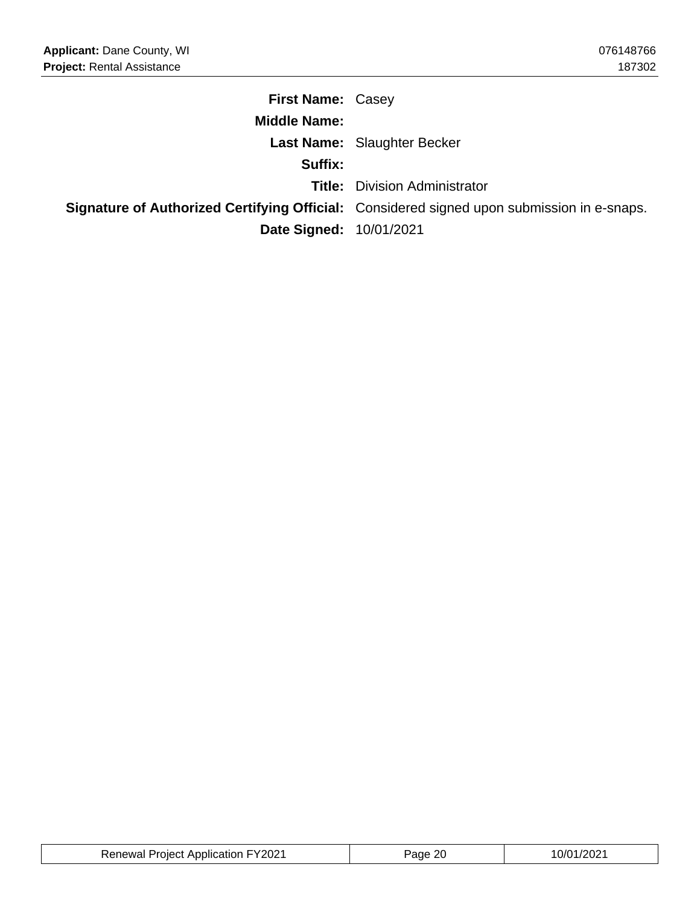| <b>First Name: Casey</b> |                                                                                            |
|--------------------------|--------------------------------------------------------------------------------------------|
| <b>Middle Name:</b>      |                                                                                            |
|                          | Last Name: Slaughter Becker                                                                |
| Suffix:                  |                                                                                            |
|                          | <b>Title:</b> Division Administrator                                                       |
|                          | Signature of Authorized Certifying Official: Considered signed upon submission in e-snaps. |
| Date Signed: 10/01/2021  |                                                                                            |

| <b>Renewal Project Application FY2021</b> | age 20 | 10/01/2021 |
|-------------------------------------------|--------|------------|
|-------------------------------------------|--------|------------|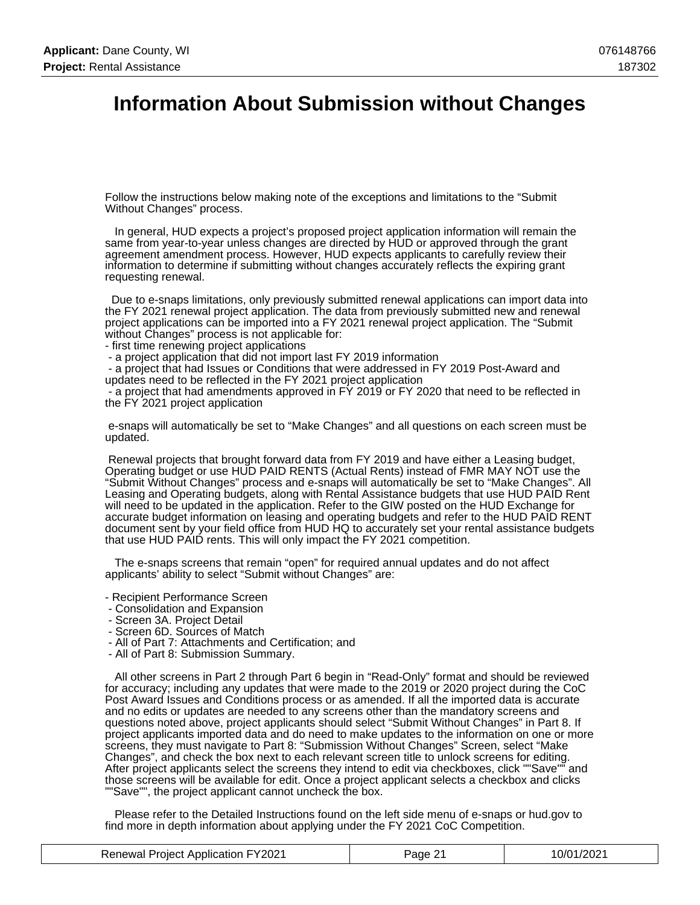# **Information About Submission without Changes**

Follow the instructions below making note of the exceptions and limitations to the "Submit Without Changes" process.

 In general, HUD expects a project's proposed project application information will remain the same from year-to-year unless changes are directed by HUD or approved through the grant agreement amendment process. However, HUD expects applicants to carefully review their information to determine if submitting without changes accurately reflects the expiring grant requesting renewal.

 Due to e-snaps limitations, only previously submitted renewal applications can import data into the FY 2021 renewal project application. The data from previously submitted new and renewal project applications can be imported into a FY 2021 renewal project application. The "Submit without Changes" process is not applicable for:

- first time renewing project applications
- a project application that did not import last FY 2019 information

 - a project that had Issues or Conditions that were addressed in FY 2019 Post-Award and updates need to be reflected in the FY 2021 project application

 - a project that had amendments approved in FY 2019 or FY 2020 that need to be reflected in the FY 2021 project application

 e-snaps will automatically be set to "Make Changes" and all questions on each screen must be updated.

 Renewal projects that brought forward data from FY 2019 and have either a Leasing budget, Operating budget or use HUD PAID RENTS (Actual Rents) instead of FMR MAY NOT use the "Submit Without Changes" process and e-snaps will automatically be set to "Make Changes". All Leasing and Operating budgets, along with Rental Assistance budgets that use HUD PAID Rent will need to be updated in the application. Refer to the GIW posted on the HUD Exchange for accurate budget information on leasing and operating budgets and refer to the HUD PAID RENT document sent by your field office from HUD HQ to accurately set your rental assistance budgets that use HUD PAID rents. This will only impact the FY 2021 competition.

 The e-snaps screens that remain "open" for required annual updates and do not affect applicants' ability to select "Submit without Changes" are:

- Recipient Performance Screen
- Consolidation and Expansion
- Screen 3A. Project Detail
- Screen 6D. Sources of Match
- All of Part 7: Attachments and Certification; and
- All of Part 8: Submission Summary.

 All other screens in Part 2 through Part 6 begin in "Read-Only" format and should be reviewed for accuracy; including any updates that were made to the 2019 or 2020 project during the CoC Post Award Issues and Conditions process or as amended. If all the imported data is accurate and no edits or updates are needed to any screens other than the mandatory screens and questions noted above, project applicants should select "Submit Without Changes" in Part 8. If project applicants imported data and do need to make updates to the information on one or more screens, they must navigate to Part 8: "Submission Without Changes" Screen, select "Make Changes", and check the box next to each relevant screen title to unlock screens for editing. After project applicants select the screens they intend to edit via checkboxes, click ""Save"" and those screens will be available for edit. Once a project applicant selects a checkbox and clicks ""Save"", the project applicant cannot uncheck the box.

 Please refer to the Detailed Instructions found on the left side menu of e-snaps or hud.gov to find more in depth information about applying under the FY 2021 CoC Competition.

| <b>Renewal Project Application FY2021</b> | Page 21 | 10/01/2021 |
|-------------------------------------------|---------|------------|
|-------------------------------------------|---------|------------|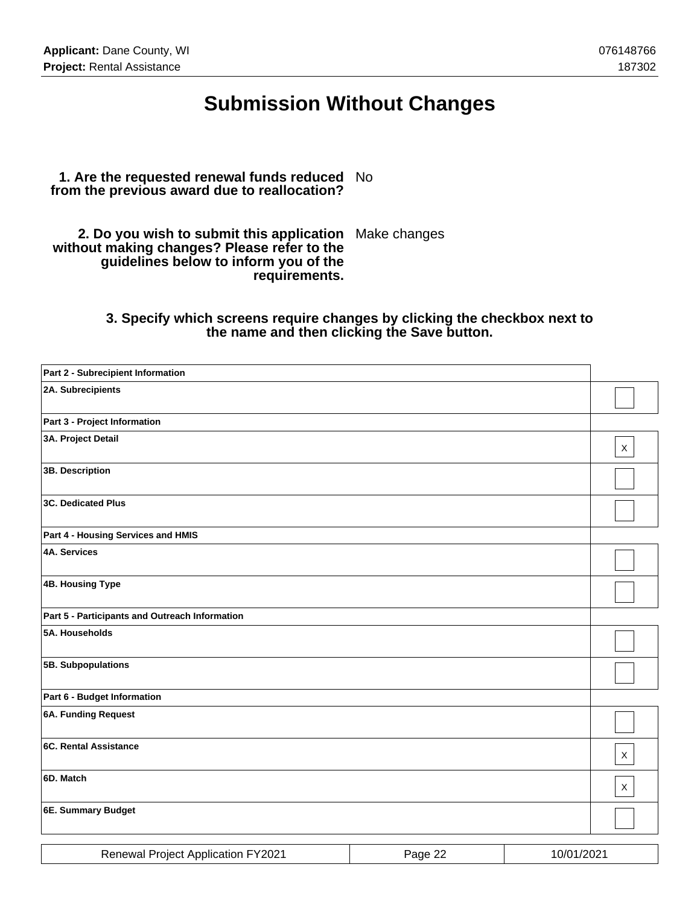# **Submission Without Changes**

#### **1. Are the requested renewal funds reduced** No **from the previous award due to reallocation?**

**2. Do you wish to submit this application** Make changes **without making changes? Please refer to the guidelines below to inform you of the requirements.**

### **3. Specify which screens require changes by clicking the checkbox next to the name and then clicking the Save button.**

| Part 2 - Subrecipient Information              |         |            |              |
|------------------------------------------------|---------|------------|--------------|
| 2A. Subrecipients                              |         |            |              |
| Part 3 - Project Information                   |         |            |              |
| 3A. Project Detail                             |         |            | $\mathsf X$  |
| 3B. Description                                |         |            |              |
| 3C. Dedicated Plus                             |         |            |              |
| Part 4 - Housing Services and HMIS             |         |            |              |
| <b>4A. Services</b>                            |         |            |              |
| <b>4B. Housing Type</b>                        |         |            |              |
| Part 5 - Participants and Outreach Information |         |            |              |
| 5A. Households                                 |         |            |              |
| 5B. Subpopulations                             |         |            |              |
| Part 6 - Budget Information                    |         |            |              |
| <b>6A. Funding Request</b>                     |         |            |              |
| <b>6C. Rental Assistance</b>                   |         |            | $\mathsf{X}$ |
| 6D. Match                                      |         |            | $\mathsf X$  |
| 6E. Summary Budget                             |         |            |              |
| <b>Renewal Project Application FY2021</b>      | Page 22 | 10/01/2021 |              |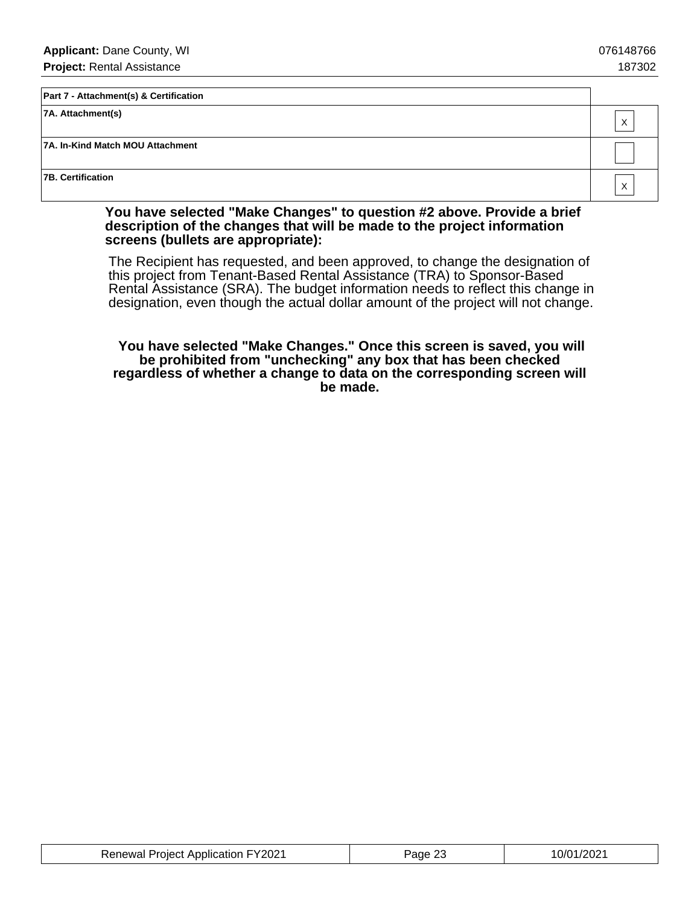| Part 7 - Attachment(s) & Certification |   |
|----------------------------------------|---|
| $ 7A.$ Attachment(s)                   | X |
| 7A. In-Kind Match MOU Attachment       |   |
| 7B. Certification                      | X |

#### **You have selected "Make Changes" to question #2 above. Provide a brief description of the changes that will be made to the project information screens (bullets are appropriate):**

The Recipient has requested, and been approved, to change the designation of this project from Tenant-Based Rental Assistance (TRA) to Sponsor-Based Rental Assistance (SRA). The budget information needs to reflect this change in designation, even though the actual dollar amount of the project will not change.

 **You have selected "Make Changes." Once this screen is saved, you will be prohibited from "unchecking" any box that has been checked regardless of whether a change to data on the corresponding screen will be made.**

| <b>Renewal Project Application FY2021</b> | Page 23 | 10/01/2021 |
|-------------------------------------------|---------|------------|
|-------------------------------------------|---------|------------|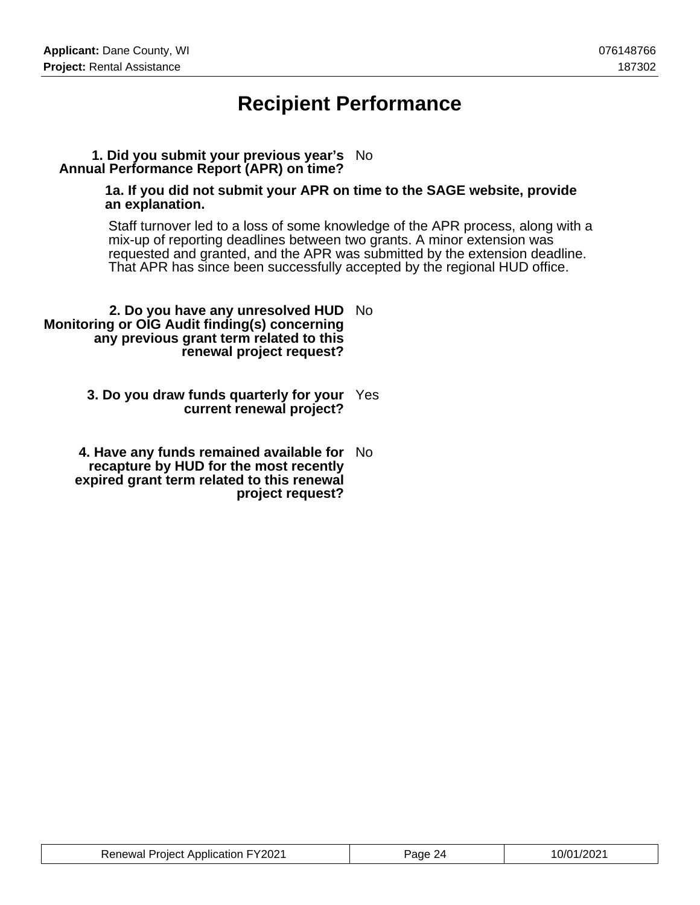# **Recipient Performance**

### **1. Did you submit your previous year's** No **Annual Performance Report (APR) on time?**

**1a. If you did not submit your APR on time to the SAGE website, provide an explanation.**

Staff turnover led to a loss of some knowledge of the APR process, along with a mix-up of reporting deadlines between two grants. A minor extension was requested and granted, and the APR was submitted by the extension deadline. That APR has since been successfully accepted by the regional HUD office.

**2. Do you have any unresolved HUD** No **Monitoring or OIG Audit finding(s) concerning any previous grant term related to this renewal project request?**

> **3. Do you draw funds quarterly for your** Yes **current renewal project?**

**4. Have any funds remained available for** No **recapture by HUD for the most recently expired grant term related to this renewal project request?**

| Renewal Project Application FY2021 | Page 24 | 10/01/2021 |
|------------------------------------|---------|------------|
|------------------------------------|---------|------------|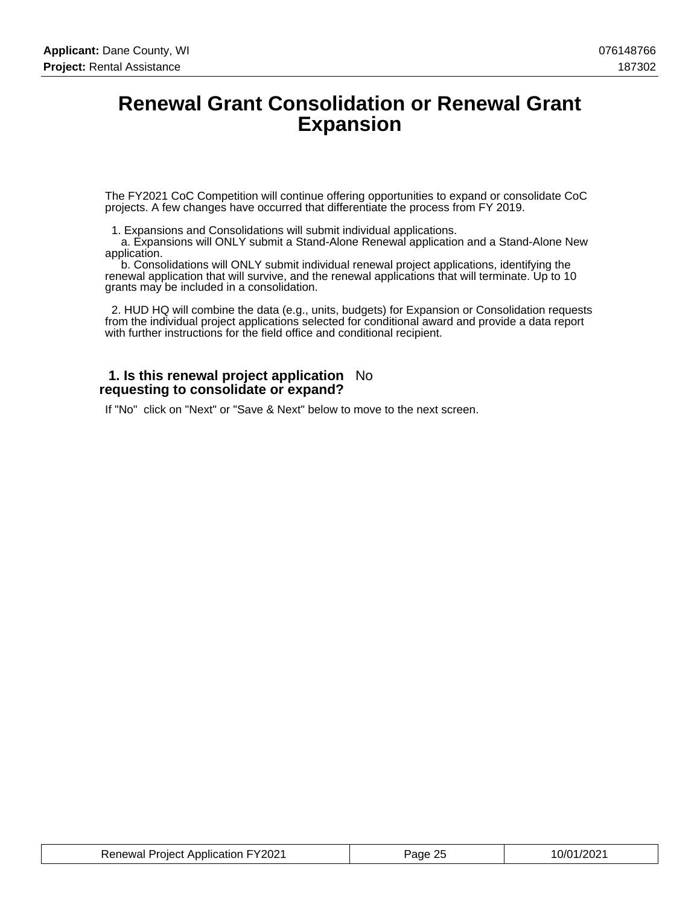# **Renewal Grant Consolidation or Renewal Grant Expansion**

The FY2021 CoC Competition will continue offering opportunities to expand or consolidate CoC projects. A few changes have occurred that differentiate the process from FY 2019.

1. Expansions and Consolidations will submit individual applications.

 a. Expansions will ONLY submit a Stand-Alone Renewal application and a Stand-Alone New application.

 b. Consolidations will ONLY submit individual renewal project applications, identifying the renewal application that will survive, and the renewal applications that will terminate. Up to 10 grants may be included in a consolidation.

 2. HUD HQ will combine the data (e.g., units, budgets) for Expansion or Consolidation requests from the individual project applications selected for conditional award and provide a data report with further instructions for the field office and conditional recipient.

### **1. Is this renewal project application** No **requesting to consolidate or expand?**

If "No" click on "Next" or "Save & Next" below to move to the next screen.

| <b>Renewal Project Application FY2021</b> | Page 25 | 10/01/2021 |
|-------------------------------------------|---------|------------|
|-------------------------------------------|---------|------------|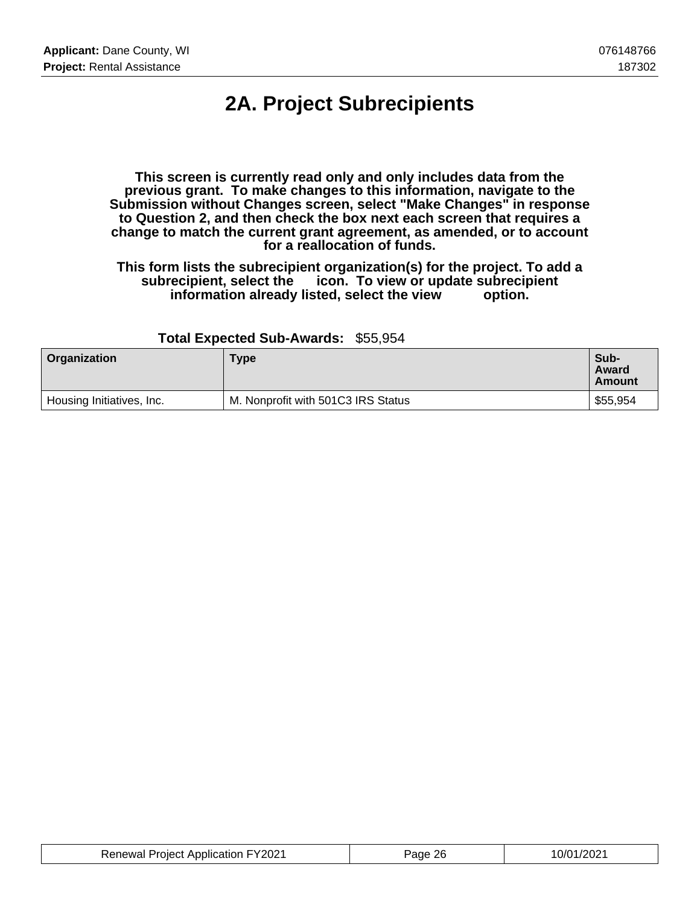# **2A. Project Subrecipients**

**This screen is currently read only and only includes data from the previous grant. To make changes to this information, navigate to the Submission without Changes screen, select "Make Changes" in response to Question 2, and then check the box next each screen that requires a change to match the current grant agreement, as amended, or to account for a reallocation of funds.**

**This form lists the subrecipient organization(s) for the project. To add a subrecipient, select the icon. To view or update subrecipient information already listed, select the view** 

| Organization              | Type                               | Sub-<br>Award<br>Amount |
|---------------------------|------------------------------------|-------------------------|
| Housing Initiatives, Inc. | M. Nonprofit with 501C3 IRS Status | \$55,954                |

### **Total Expected Sub-Awards:** \$55,954

| <b>Renewal Project Application FY2021</b> | Page 26 | 10/01/2021 |
|-------------------------------------------|---------|------------|
|-------------------------------------------|---------|------------|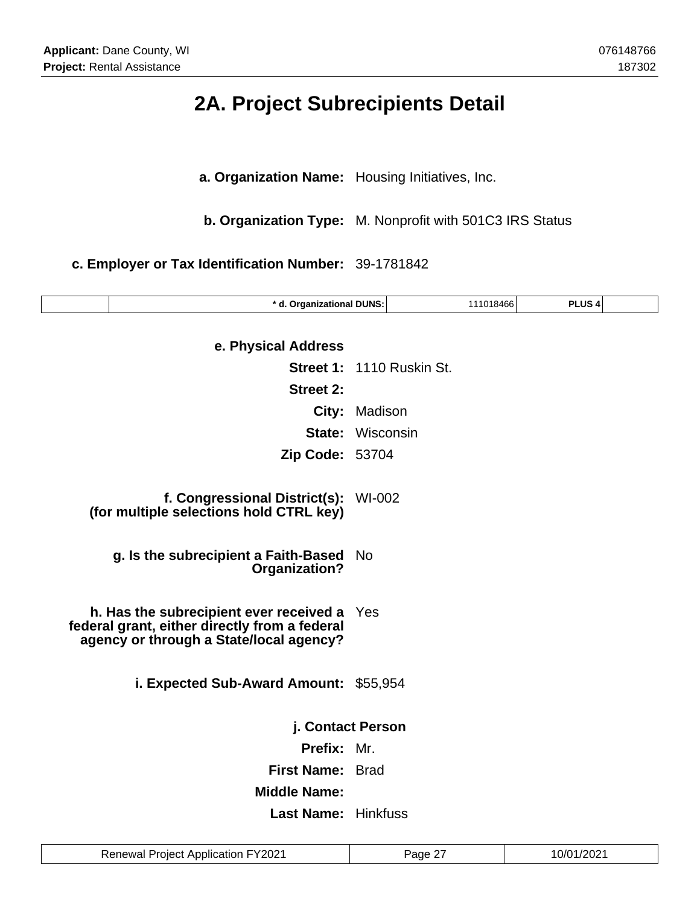# **2A. Project Subrecipients Detail**

**a. Organization Name:** Housing Initiatives, Inc.

**b. Organization Type:** M. Nonprofit with 501C3 IRS Status

**c. Employer or Tax Identification Number:** 39-1781842

| * d. Organizational DUNS:                                                                                                           |               | 111018466 | PLUS <sub>4</sub> |
|-------------------------------------------------------------------------------------------------------------------------------------|---------------|-----------|-------------------|
|                                                                                                                                     |               |           |                   |
| e. Physical Address                                                                                                                 |               |           |                   |
| Street 1: 1110 Ruskin St.                                                                                                           |               |           |                   |
| <b>Street 2:</b>                                                                                                                    |               |           |                   |
|                                                                                                                                     | City: Madison |           |                   |
| <b>State: Wisconsin</b>                                                                                                             |               |           |                   |
| <b>Zip Code: 53704</b>                                                                                                              |               |           |                   |
| f. Congressional District(s):<br>(for multiple selections hold CTRL key)                                                            | <b>WI-002</b> |           |                   |
| g. Is the subrecipient a Faith-Based                                                                                                | No            |           |                   |
| Organization?                                                                                                                       |               |           |                   |
| h. Has the subrecipient ever received a<br>federal grant, either directly from a federal<br>agency or through a State/local agency? | Yes           |           |                   |
| i. Expected Sub-Award Amount: \$55,954                                                                                              |               |           |                   |
| j. Contact Person                                                                                                                   |               |           |                   |
| Prefix: Mr.                                                                                                                         |               |           |                   |
| First Name: Brad                                                                                                                    |               |           |                   |
| <b>Middle Name:</b>                                                                                                                 |               |           |                   |
| <b>Last Name: Hinkfuss</b>                                                                                                          |               |           |                   |
|                                                                                                                                     |               |           |                   |

Renewal Project Application FY2021 | Page 27 | 10/01/2021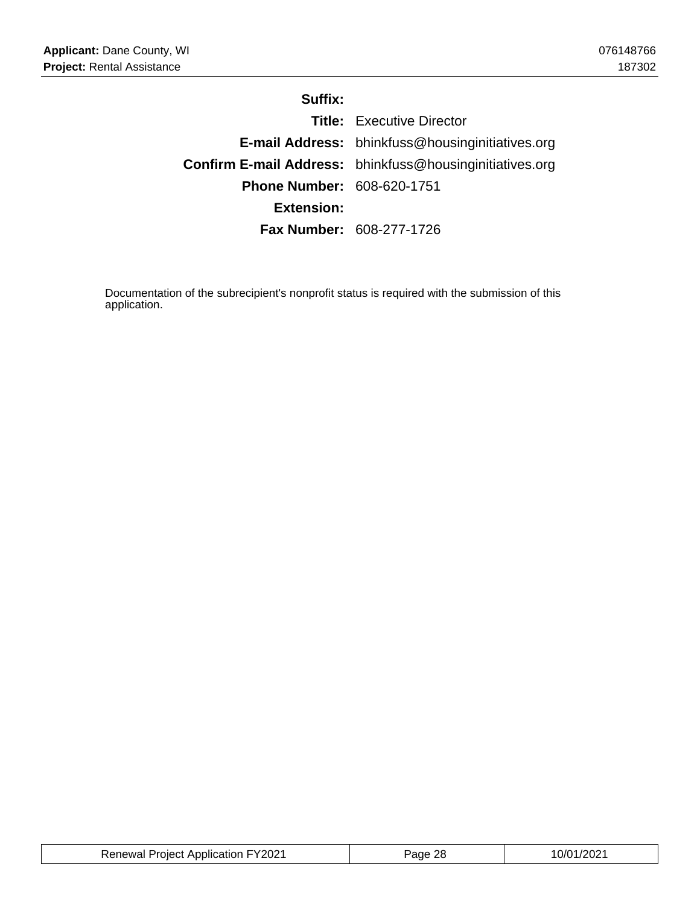| Suffix:                           |                                                                 |
|-----------------------------------|-----------------------------------------------------------------|
|                                   | <b>Title:</b> Executive Director                                |
|                                   | <b>E-mail Address:</b> bhinkfuss@housinginitiatives.org         |
|                                   | <b>Confirm E-mail Address:</b> bhinkfuss@housinginitiatives.org |
| <b>Phone Number: 608-620-1751</b> |                                                                 |
| <b>Extension:</b>                 |                                                                 |
|                                   | <b>Fax Number: 608-277-1726</b>                                 |

Documentation of the subrecipient's nonprofit status is required with the submission of this application.

| <b>Renewal Project Application FY2021</b> | Page 28 | 10/01/2021 |
|-------------------------------------------|---------|------------|
|-------------------------------------------|---------|------------|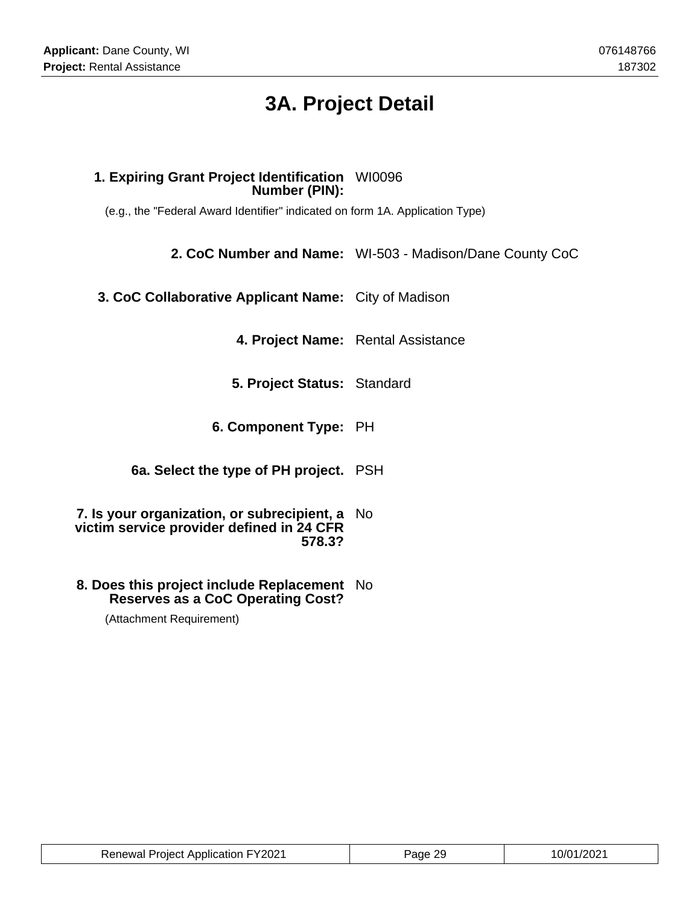# **3A. Project Detail**

### **1. Expiring Grant Project Identification** WI0096 **Number (PIN):**

(e.g., the "Federal Award Identifier" indicated on form 1A. Application Type)

**2. CoC Number and Name:** WI-503 - Madison/Dane County CoC

**3. CoC Collaborative Applicant Name:** City of Madison

**4. Project Name:** Rental Assistance

**5. Project Status:** Standard

**6. Component Type:** PH

**6a. Select the type of PH project.** PSH

**7. Is your organization, or subrecipient, a** No **victim service provider defined in 24 CFR 578.3?**

### **8. Does this project include Replacement** No **Reserves as a CoC Operating Cost?**

(Attachment Requirement)

| <b>Renewal Project Application FY2021</b> | Page 29 | 10/01/2021 |
|-------------------------------------------|---------|------------|
|-------------------------------------------|---------|------------|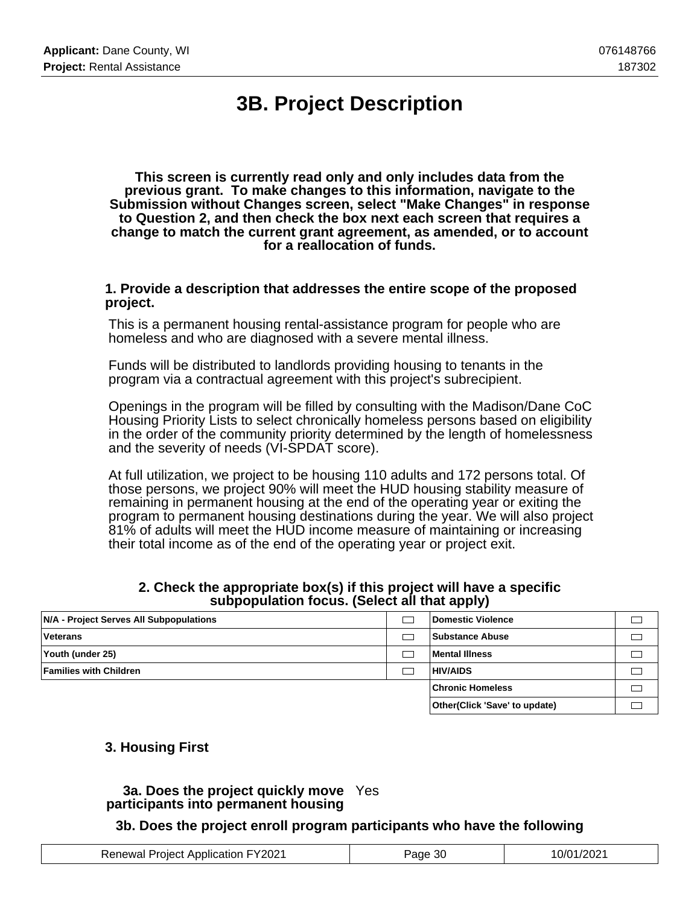# **3B. Project Description**

**This screen is currently read only and only includes data from the previous grant. To make changes to this information, navigate to the Submission without Changes screen, select "Make Changes" in response to Question 2, and then check the box next each screen that requires a change to match the current grant agreement, as amended, or to account for a reallocation of funds.**

### **1. Provide a description that addresses the entire scope of the proposed project.**

This is a permanent housing rental-assistance program for people who are homeless and who are diagnosed with a severe mental illness.

Funds will be distributed to landlords providing housing to tenants in the program via a contractual agreement with this project's subrecipient.

Openings in the program will be filled by consulting with the Madison/Dane CoC Housing Priority Lists to select chronically homeless persons based on eligibility in the order of the community priority determined by the length of homelessness and the severity of needs (VI-SPDAT score).

At full utilization, we project to be housing 110 adults and 172 persons total. Of those persons, we project 90% will meet the HUD housing stability measure of remaining in permanent housing at the end of the operating year or exiting the program to permanent housing destinations during the year. We will also project 81% of adults will meet the HUD income measure of maintaining or increasing their total income as of the end of the operating year or project exit.

#### **2. Check the appropriate box(s) if this project will have a specific subpopulation focus. (Select all that apply)**

| N/A - Project Serves All Subpopulations | <b>Domestic Violence</b>       |  |
|-----------------------------------------|--------------------------------|--|
| <b>Veterans</b>                         | <b>Substance Abuse</b>         |  |
| Youth (under 25)                        | Mental Illness                 |  |
| <b>Families with Children</b>           | <b>HIV/AIDS</b>                |  |
|                                         | <b>Chronic Homeless</b>        |  |
|                                         | Other (Click 'Save' to update) |  |

### **3. Housing First**

### **3a. Does the project quickly move** Yes **participants into permanent housing**

### **3b. Does the project enroll program participants who have the following**

| <b>Renewal Project Application FY2021</b> | Page 30 | 10/01/2021 |
|-------------------------------------------|---------|------------|
|-------------------------------------------|---------|------------|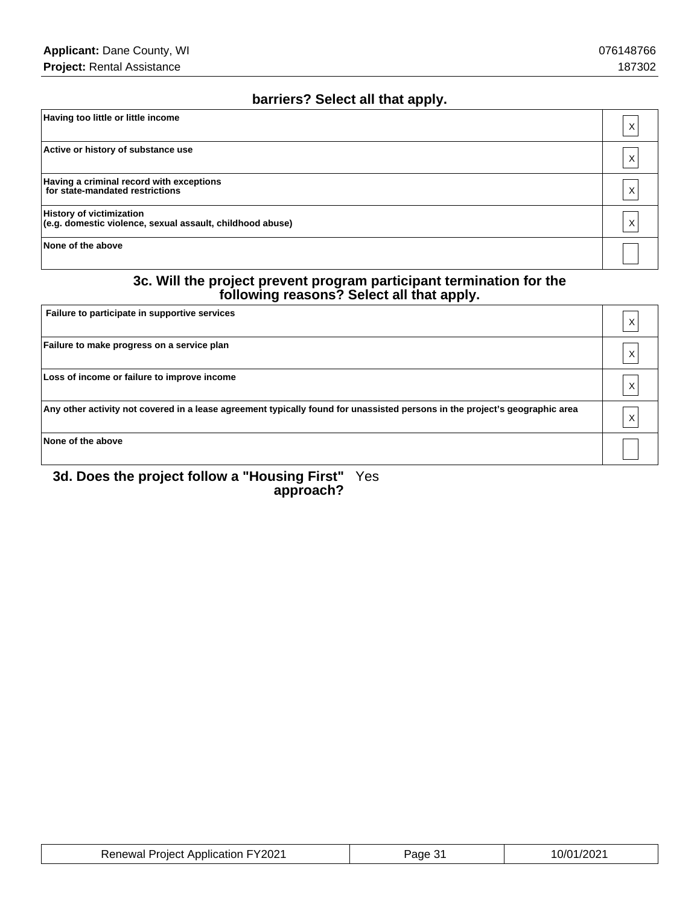### **barriers? Select all that apply.**

| Having too little or little income                                                           | X |
|----------------------------------------------------------------------------------------------|---|
| Active or history of substance use                                                           | X |
| Having a criminal record with exceptions<br>for state-mandated restrictions                  | X |
| <b>History of victimization</b><br>(e.g. domestic violence, sexual assault, childhood abuse) | X |
| None of the above                                                                            |   |

### **3c. Will the project prevent program participant termination for the following reasons? Select all that apply.**

| Failure to participate in supportive services                                                                               | X |
|-----------------------------------------------------------------------------------------------------------------------------|---|
| Failure to make progress on a service plan                                                                                  | X |
| Loss of income or failure to improve income                                                                                 | X |
| Any other activity not covered in a lease agreement typically found for unassisted persons in the project's geographic area | X |
| None of the above                                                                                                           |   |

#### **3d. Does the project follow a "Housing First"** Yes **approach?**

| <b>Renewal Project Application FY2021</b> | Page 31 | 10/01/2021 |
|-------------------------------------------|---------|------------|
|-------------------------------------------|---------|------------|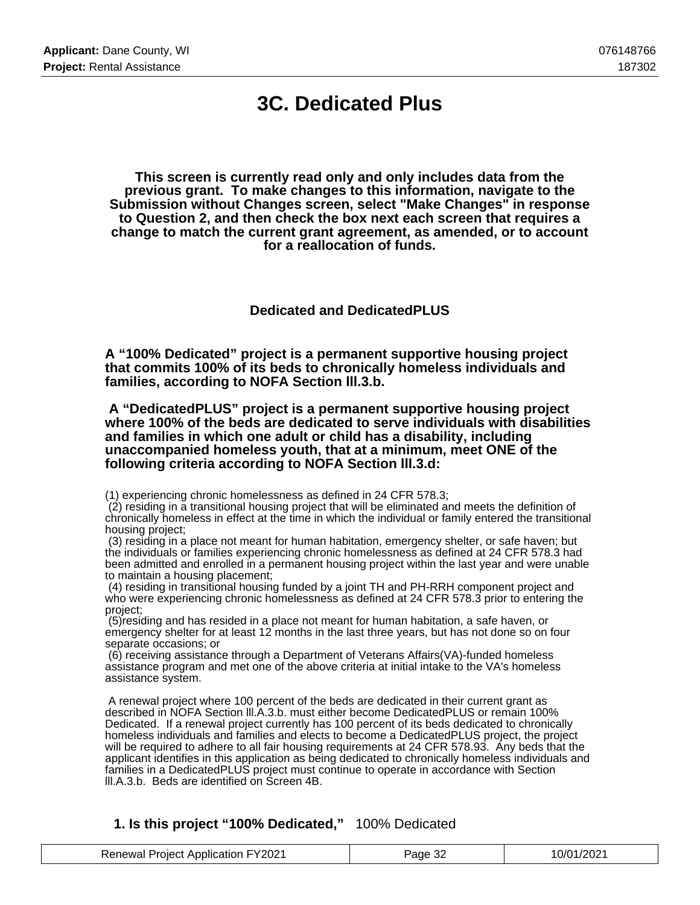# **3C. Dedicated Plus**

**This screen is currently read only and only includes data from the previous grant. To make changes to this information, navigate to the Submission without Changes screen, select "Make Changes" in response to Question 2, and then check the box next each screen that requires a change to match the current grant agreement, as amended, or to account for a reallocation of funds.**

**Dedicated and DedicatedPLUS**

**A "100% Dedicated" project is a permanent supportive housing project that commits 100% of its beds to chronically homeless individuals and families, according to NOFA Section lll.3.b.**

 **A "DedicatedPLUS" project is a permanent supportive housing project where 100% of the beds are dedicated to serve individuals with disabilities and families in which one adult or child has a disability, including unaccompanied homeless youth, that at a minimum, meet ONE of the following criteria according to NOFA Section lll.3.d:**

(1) experiencing chronic homelessness as defined in 24 CFR 578.3;

 (2) residing in a transitional housing project that will be eliminated and meets the definition of chronically homeless in effect at the time in which the individual or family entered the transitional housing project;

 (3) residing in a place not meant for human habitation, emergency shelter, or safe haven; but the individuals or families experiencing chronic homelessness as defined at 24 CFR 578.3 had been admitted and enrolled in a permanent housing project within the last year and were unable to maintain a housing placement;

 (4) residing in transitional housing funded by a joint TH and PH-RRH component project and who were experiencing chronic homelessness as defined at 24 CFR 578.3 prior to entering the project;

 (5)residing and has resided in a place not meant for human habitation, a safe haven, or emergency shelter for at least 12 months in the last three years, but has not done so on four separate occasions; or

 (6) receiving assistance through a Department of Veterans Affairs(VA)-funded homeless assistance program and met one of the above criteria at initial intake to the VA's homeless assistance system.

 A renewal project where 100 percent of the beds are dedicated in their current grant as described in NOFA Section lll.A.3.b. must either become DedicatedPLUS or remain 100% Dedicated. If a renewal project currently has 100 percent of its beds dedicated to chronically homeless individuals and families and elects to become a DedicatedPLUS project, the project will be required to adhere to all fair housing requirements at 24 CFR 578.93. Any beds that the applicant identifies in this application as being dedicated to chronically homeless individuals and families in a DedicatedPLUS project must continue to operate in accordance with Section lll.A.3.b. Beds are identified on Screen 4B.

### **1. Is this project "100% Dedicated,"** 100% Dedicated

| <b>Renewal Project Application FY2021</b> | Page 32 | 10/01/2021 |
|-------------------------------------------|---------|------------|
|-------------------------------------------|---------|------------|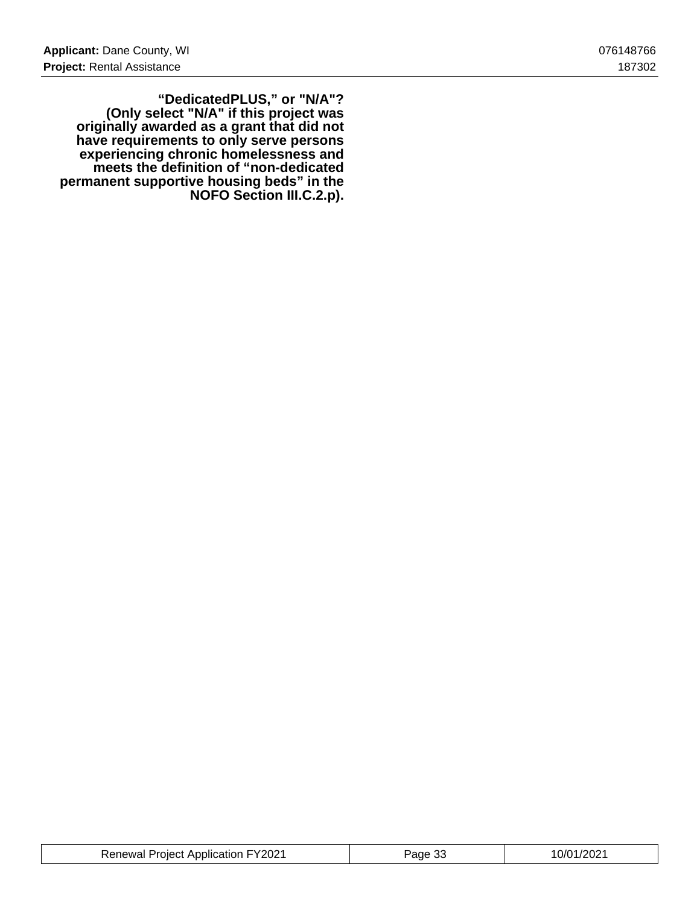**"DedicatedPLUS," or "N/A"? (Only select "N/A" if this project was originally awarded as a grant that did not have requirements to only serve persons experiencing chronic homelessness and meets the definition of "non-dedicated permanent supportive housing beds" in the NOFO Section III.C.2.p).**

| <b>Renewal Project Application FY2021</b> | Page 33 | 10/01/2021 |
|-------------------------------------------|---------|------------|
|-------------------------------------------|---------|------------|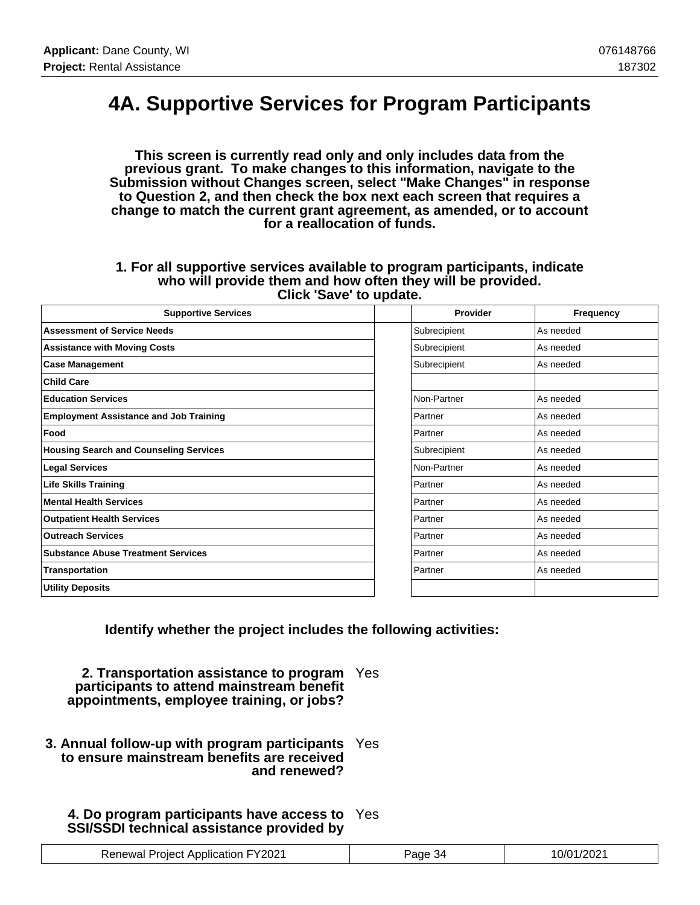# **4A. Supportive Services for Program Participants**

**This screen is currently read only and only includes data from the previous grant. To make changes to this information, navigate to the Submission without Changes screen, select "Make Changes" in response to Question 2, and then check the box next each screen that requires a change to match the current grant agreement, as amended, or to account for a reallocation of funds.**

#### **1. For all supportive services available to program participants, indicate who will provide them and how often they will be provided. Click 'Save' to update.**

| <b>Supportive Services</b>                    | Provider     | Frequency |
|-----------------------------------------------|--------------|-----------|
| <b>Assessment of Service Needs</b>            | Subrecipient | As needed |
| <b>Assistance with Moving Costs</b>           | Subrecipient | As needed |
| <b>Case Management</b>                        | Subrecipient | As needed |
| <b>Child Care</b>                             |              |           |
| <b>Education Services</b>                     | Non-Partner  | As needed |
| <b>Employment Assistance and Job Training</b> | Partner      | As needed |
| Food                                          | Partner      | As needed |
| <b>Housing Search and Counseling Services</b> | Subrecipient | As needed |
| <b>Legal Services</b>                         | Non-Partner  | As needed |
| <b>Life Skills Training</b>                   | Partner      | As needed |
| <b>Mental Health Services</b>                 | Partner      | As needed |
| <b>Outpatient Health Services</b>             | Partner      | As needed |
| <b>Outreach Services</b>                      | Partner      | As needed |
| <b>Substance Abuse Treatment Services</b>     | Partner      | As needed |
| Transportation                                | Partner      | As needed |
| <b>Utility Deposits</b>                       |              |           |

**Identify whether the project includes the following activities:**

**2. Transportation assistance to program** Yes **participants to attend mainstream benefit appointments, employee training, or jobs?**

**3. Annual follow-up with program participants** Yes **to ensure mainstream benefits are received and renewed?**

### **4. Do program participants have access to** Yes **SSI/SSDI technical assistance provided by**

| <b>Renewal Project Application FY2021</b> | <sup>2</sup> age 34 | 10/01/2021 |
|-------------------------------------------|---------------------|------------|
|-------------------------------------------|---------------------|------------|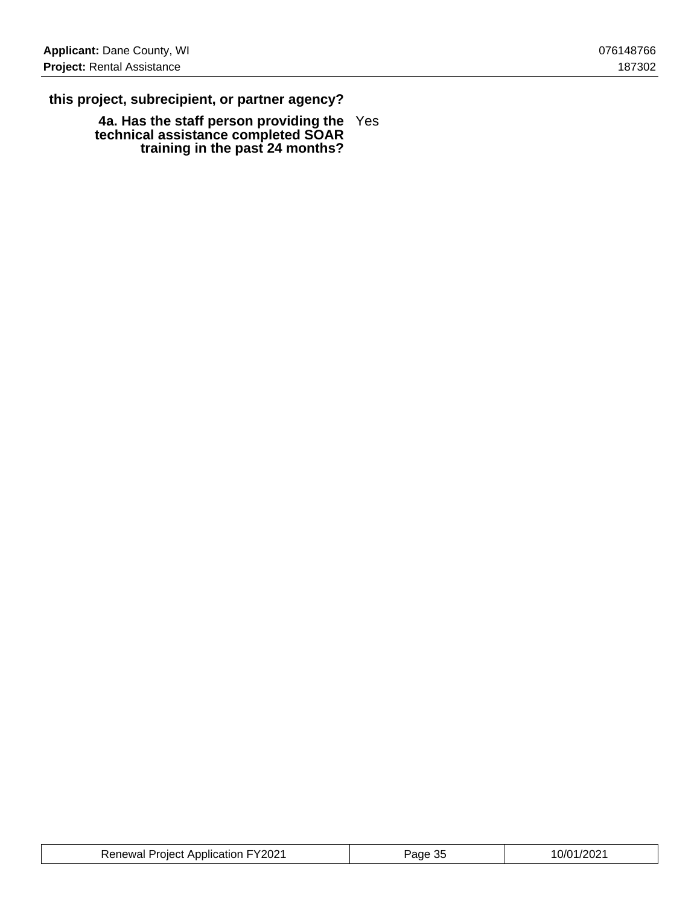## **this project, subrecipient, or partner agency?**

**4a. Has the staff person providing the technical assistance completed SOAR training in the past 24 months?** Yes

| <b>Renewal Project Application FY2021</b> | Page $35$ | 10/01/2021 |
|-------------------------------------------|-----------|------------|
|-------------------------------------------|-----------|------------|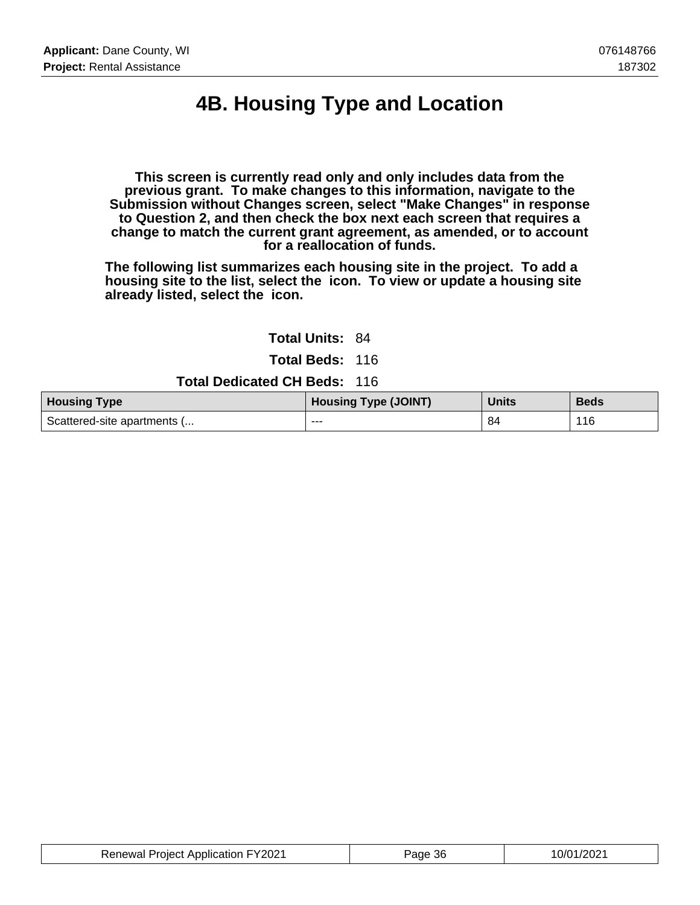# **4B. Housing Type and Location**

**This screen is currently read only and only includes data from the previous grant. To make changes to this information, navigate to the Submission without Changes screen, select "Make Changes" in response to Question 2, and then check the box next each screen that requires a change to match the current grant agreement, as amended, or to account for a reallocation of funds.**

**The following list summarizes each housing site in the project. To add a housing site to the list, select the icon. To view or update a housing site already listed, select the icon.**

#### **Total Units:** 84

**Total Beds:** 116

**Total Dedicated CH Beds:** 116

| <b>Housing Type</b>         | <b>Housing Type (JOINT)</b> | <b>Units</b> | <b>Beds</b> |
|-----------------------------|-----------------------------|--------------|-------------|
| Scattered-site apartments ( | ---                         | 84           | 116         |

| <b>Renewal Project Application FY2021</b> | Page 36 | 10/01/2021 |
|-------------------------------------------|---------|------------|
|-------------------------------------------|---------|------------|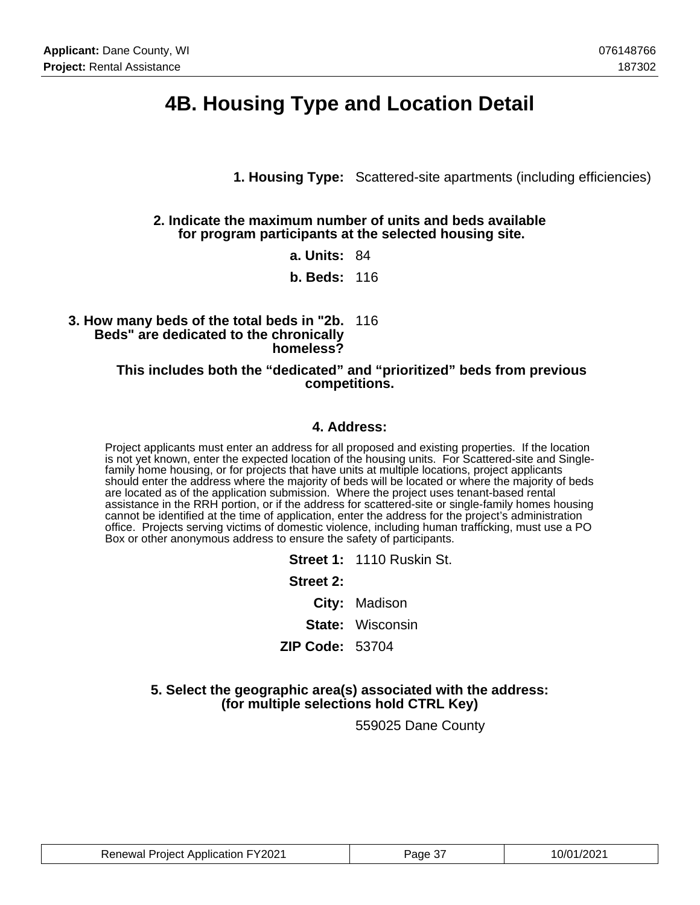# **4B. Housing Type and Location Detail**

**1. Housing Type:** Scattered-site apartments (including efficiencies)

### **2. Indicate the maximum number of units and beds available for program participants at the selected housing site.**

**a. Units:** 84

**b. Beds:** 116

### **3. How many beds of the total beds in "2b.** 116 **Beds" are dedicated to the chronically homeless?**

### **This includes both the "dedicated" and "prioritized" beds from previous competitions.**

### **4. Address:**

Project applicants must enter an address for all proposed and existing properties. If the location is not yet known, enter the expected location of the housing units. For Scattered-site and Singlefamily home housing, or for projects that have units at multiple locations, project applicants should enter the address where the majority of beds will be located or where the majority of beds are located as of the application submission. Where the project uses tenant-based rental assistance in the RRH portion, or if the address for scattered-site or single-family homes housing cannot be identified at the time of application, enter the address for the project's administration office. Projects serving victims of domestic violence, including human trafficking, must use a PO Box or other anonymous address to ensure the safety of participants.

|                        | <b>Street 1: 1110 Ruskin St.</b> |
|------------------------|----------------------------------|
| <b>Street 2:</b>       |                                  |
|                        | <b>City: Madison</b>             |
|                        | <b>State: Wisconsin</b>          |
| <b>ZIP Code: 53704</b> |                                  |
|                        |                                  |

### **5. Select the geographic area(s) associated with the address: (for multiple selections hold CTRL Key)**

559025 Dane County

| <b>Renewal Project Application FY2021</b> | Page 37 | 10/01/2021 |
|-------------------------------------------|---------|------------|
|-------------------------------------------|---------|------------|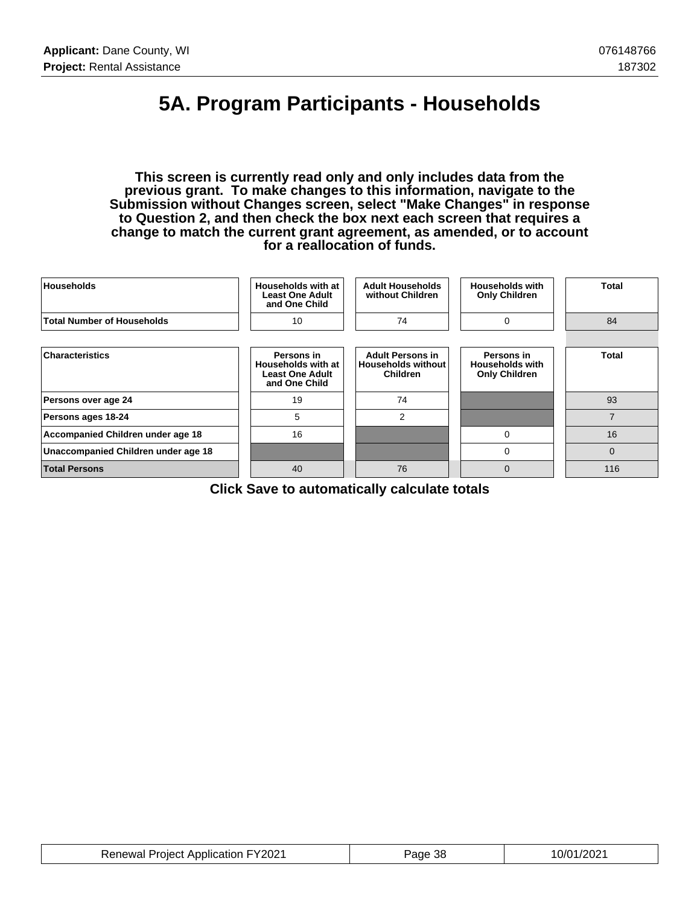# **5A. Program Participants - Households**

**This screen is currently read only and only includes data from the previous grant. To make changes to this information, navigate to the Submission without Changes screen, select "Make Changes" in response to Question 2, and then check the box next each screen that requires a change to match the current grant agreement, as amended, or to account for a reallocation of funds.**

| <b>Households</b>                   | Households with at<br><b>Least One Adult</b><br>and One Child               | <b>Adult Households</b><br>without Children                             | <b>Households with</b><br><b>Only Children</b>               | Total          |
|-------------------------------------|-----------------------------------------------------------------------------|-------------------------------------------------------------------------|--------------------------------------------------------------|----------------|
| <b>Total Number of Households</b>   | 10                                                                          | 74                                                                      | 0                                                            | 84             |
|                                     |                                                                             |                                                                         |                                                              |                |
| <b>Characteristics</b>              | Persons in<br>Households with at<br><b>Least One Adult</b><br>and One Child | <b>Adult Persons in</b><br><b>Households without</b><br><b>Children</b> | Persons in<br><b>Households with</b><br><b>Only Children</b> | <b>Total</b>   |
| Persons over age 24                 | 19                                                                          | 74                                                                      |                                                              | 93             |
| Persons ages 18-24                  | 5                                                                           | 2                                                                       |                                                              | $\overline{7}$ |
| Accompanied Children under age 18   | 16                                                                          |                                                                         | $\mathbf 0$                                                  | 16             |
| Unaccompanied Children under age 18 |                                                                             |                                                                         | $\mathbf 0$                                                  | $\overline{0}$ |
| <b>Total Persons</b>                | 40                                                                          | 76                                                                      | $\overline{0}$                                               | 116            |

**Click Save to automatically calculate totals**

| <b>Renewal Project Application FY2021</b> | Page 38 | 10/01/2021 |
|-------------------------------------------|---------|------------|
|-------------------------------------------|---------|------------|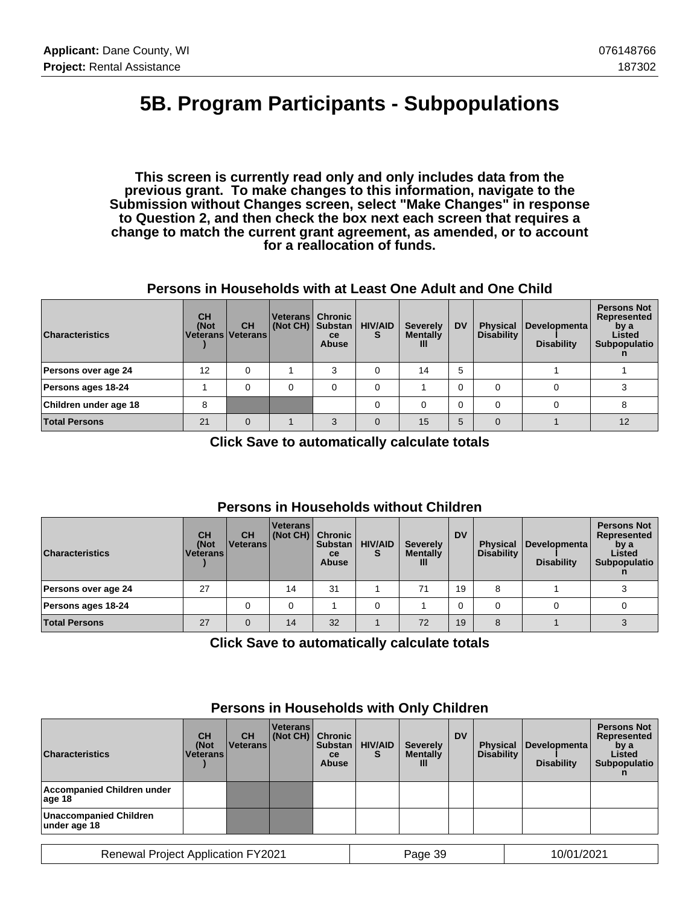# **5B. Program Participants - Subpopulations**

**This screen is currently read only and only includes data from the previous grant. To make changes to this information, navigate to the Submission without Changes screen, select "Make Changes" in response to Question 2, and then check the box next each screen that requires a change to match the current grant agreement, as amended, or to account for a reallocation of funds.**

### **Persons in Households with at Least One Adult and One Child**

| <b>Characteristics</b> | <b>CH</b><br>(Not<br>Veterans   Veterans | <b>CH</b> | (Not CH) Substan | <b>ce</b><br><b>Abuse</b> | <b>HIV/AID</b><br>s | <b>Severely</b><br><b>Mentally</b><br>Ш | <b>DV</b> | <b>Physical</b><br><b>Disability</b> | Developmenta<br><b>Disability</b> | <b>Persons Not</b><br>Represented<br>by a<br>Listed<br>Subpopulatio |
|------------------------|------------------------------------------|-----------|------------------|---------------------------|---------------------|-----------------------------------------|-----------|--------------------------------------|-----------------------------------|---------------------------------------------------------------------|
| Persons over age 24    | 12                                       | 0         |                  | 3                         |                     | 14                                      | 5         |                                      |                                   |                                                                     |
| Persons ages 18-24     |                                          | 0         |                  |                           |                     |                                         |           |                                      |                                   |                                                                     |
| Children under age 18  | 8                                        |           |                  |                           |                     |                                         |           |                                      |                                   | 8                                                                   |
| <b>Total Persons</b>   | 21                                       | $\Omega$  |                  | 3                         | $\Omega$            | 15                                      | 5         | $\Omega$                             |                                   | 12                                                                  |

**Click Save to automatically calculate totals**

### **Persons in Households without Children**

| <b>Characteristics</b> | <b>CH</b><br>(Not<br><i><u><b>Neterans</b></u></i> | <b>CH</b><br><b>Veterans</b> | <b>Veterans</b><br>(Not CH) Chronic | <b>Substan</b><br>ce<br><b>Abuse</b> | <b>HIV/AID</b><br>s | <b>Severely</b><br><b>Mentally</b><br>Ш | <b>DV</b> | <b>Physical</b><br><b>Disability</b> | Developmenta<br><b>Disability</b> | <b>Persons Not</b><br><b>Represented</b><br>by a<br>Listed<br>Subpopulatio |
|------------------------|----------------------------------------------------|------------------------------|-------------------------------------|--------------------------------------|---------------------|-----------------------------------------|-----------|--------------------------------------|-----------------------------------|----------------------------------------------------------------------------|
| Persons over age 24    | 27                                                 |                              | 14                                  | 31                                   |                     | 71                                      | 19        | 8                                    |                                   |                                                                            |
| Persons ages 18-24     |                                                    | 0                            |                                     |                                      |                     |                                         |           |                                      |                                   |                                                                            |
| <b>Total Persons</b>   | 27                                                 |                              | 14                                  | 32                                   |                     | 72                                      | 19        | 8                                    |                                   |                                                                            |

**Click Save to automatically calculate totals**

| <b>Characteristics</b>                        | <b>CH</b><br>(Not<br><b>Veterans</b> | <b>CH</b><br>l Veterans l | <b>Veterans</b><br>(Not CH) Chronic | <b>Substan</b><br>ce<br><b>Abuse</b> | <b>HIV/AID</b><br>S | <b>Severely</b><br><b>Mentally</b><br>Ш | <b>DV</b> | <b>Physical</b><br>Disability | Developmenta<br><b>Disability</b> | <b>Persons Not</b><br>Represented<br>by a<br>Listed<br>Subpopulatio |
|-----------------------------------------------|--------------------------------------|---------------------------|-------------------------------------|--------------------------------------|---------------------|-----------------------------------------|-----------|-------------------------------|-----------------------------------|---------------------------------------------------------------------|
| Accompanied Children under<br>age 18          |                                      |                           |                                     |                                      |                     |                                         |           |                               |                                   |                                                                     |
| <b>Unaccompanied Children</b><br>under age 18 |                                      |                           |                                     |                                      |                     |                                         |           |                               |                                   |                                                                     |

### **Persons in Households with Only Children**

| <b>Renewal Project Application FY2021</b> | Page 39 | 10/01/2021 |
|-------------------------------------------|---------|------------|
|-------------------------------------------|---------|------------|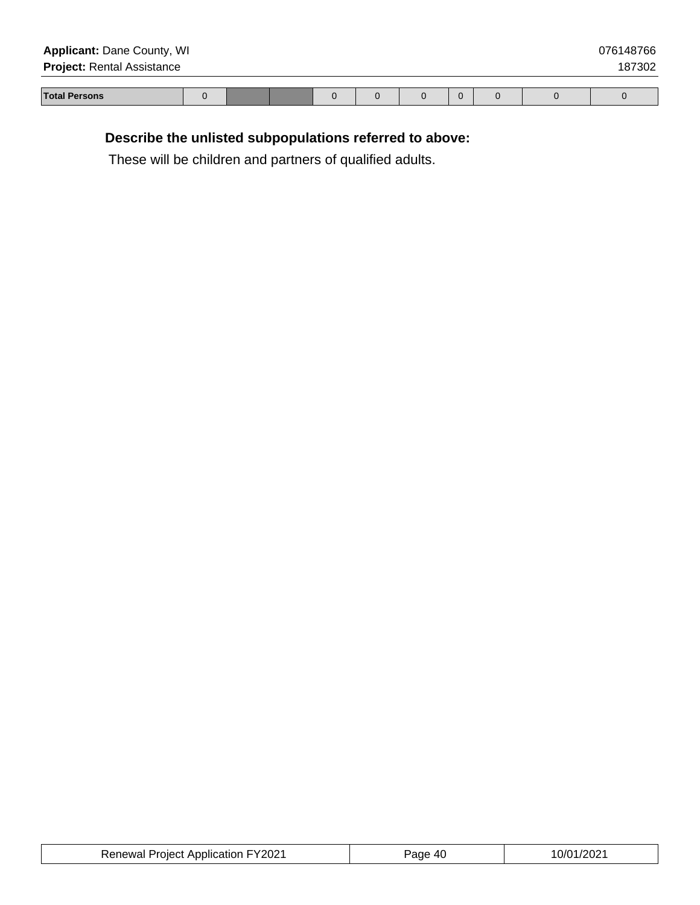| <b>Applicant: Dane County, WI</b><br><b>Project: Rental Assistance</b> |  |  |  |  |  |  | 076148766<br>187302 |  |  |
|------------------------------------------------------------------------|--|--|--|--|--|--|---------------------|--|--|
| <b>Total Persons</b>                                                   |  |  |  |  |  |  |                     |  |  |

**Describe the unlisted subpopulations referred to above:**

These will be children and partners of qualified adults.

| <b>Renewal Project Application FY2021</b> | Page 40 | 10/01/2021 |
|-------------------------------------------|---------|------------|
|-------------------------------------------|---------|------------|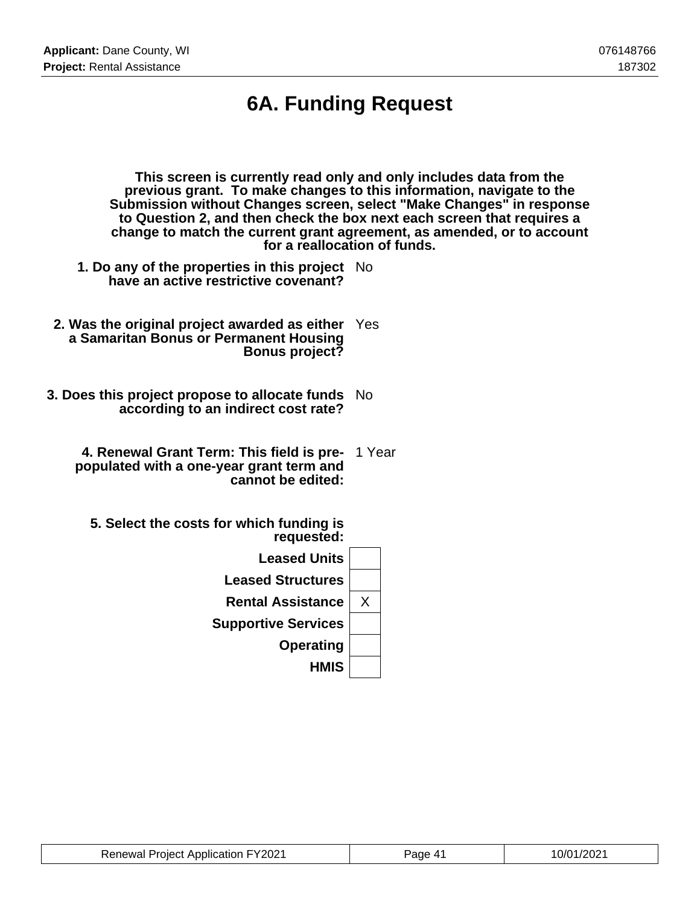# **6A. Funding Request**

|                                                                                                                      | This screen is currently read only and only includes data from the<br>previous grant. To make changes to this information, navigate to the<br>Submission without Changes screen, select "Make Changes" in response<br>to Question 2, and then check the box next each screen that requires a<br>change to match the current grant agreement, as amended, or to account<br>for a reallocation of funds. |
|----------------------------------------------------------------------------------------------------------------------|--------------------------------------------------------------------------------------------------------------------------------------------------------------------------------------------------------------------------------------------------------------------------------------------------------------------------------------------------------------------------------------------------------|
| 1. Do any of the properties in this project No<br>have an active restrictive covenant?                               |                                                                                                                                                                                                                                                                                                                                                                                                        |
| 2. Was the original project awarded as either Yes<br>a Samaritan Bonus or Permanent Housing<br><b>Bonus project?</b> |                                                                                                                                                                                                                                                                                                                                                                                                        |
| 3. Does this project propose to allocate funds No<br>according to an indirect cost rate?                             |                                                                                                                                                                                                                                                                                                                                                                                                        |
| 4. Renewal Grant Term: This field is pre-<br>populated with a one-year grant term and<br>cannot be edited:           | 1 Year                                                                                                                                                                                                                                                                                                                                                                                                 |
| 5. Select the costs for which funding is<br>requested:                                                               |                                                                                                                                                                                                                                                                                                                                                                                                        |
| <b>Leased Units</b>                                                                                                  |                                                                                                                                                                                                                                                                                                                                                                                                        |
| <b>Leased Structures</b>                                                                                             |                                                                                                                                                                                                                                                                                                                                                                                                        |
| <b>Rental Assistance</b>                                                                                             | X                                                                                                                                                                                                                                                                                                                                                                                                      |
| <b>Supportive Services</b>                                                                                           |                                                                                                                                                                                                                                                                                                                                                                                                        |
| Operating                                                                                                            |                                                                                                                                                                                                                                                                                                                                                                                                        |

**HMIS**

| <b>Renewal Project Application FY2021</b> | Page 41 | 10/01/2021 |
|-------------------------------------------|---------|------------|
|-------------------------------------------|---------|------------|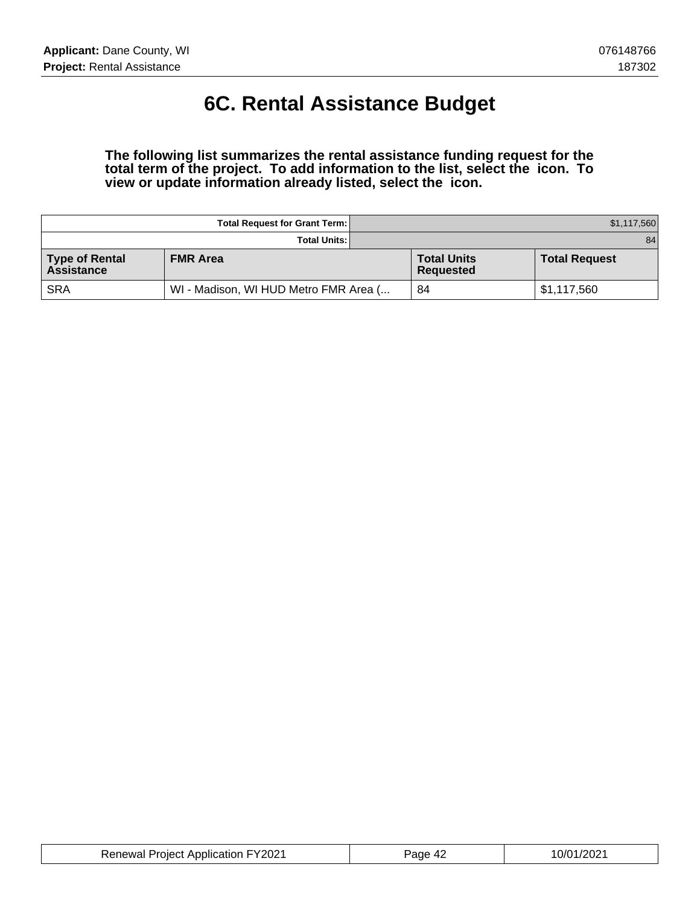# **6C. Rental Assistance Budget**

### **The following list summarizes the rental assistance funding request for the total term of the project. To add information to the list, select the icon. To view or update information already listed, select the icon.**

|                                     | <b>Total Request for Grant Term:</b>  |                                        | \$1,117,560          |
|-------------------------------------|---------------------------------------|----------------------------------------|----------------------|
|                                     | <b>Total Units:</b>                   |                                        | 84                   |
| Type of Rental<br><b>Assistance</b> | <b>FMR Area</b>                       | <b>Total Units</b><br><b>Requested</b> | <b>Total Request</b> |
| <b>SRA</b>                          | WI - Madison, WI HUD Metro FMR Area ( | 84                                     | \$1,117,560          |

| <b>Renewal Project Application FY2021</b> | Page 42 | 10/01/2021 |
|-------------------------------------------|---------|------------|
|-------------------------------------------|---------|------------|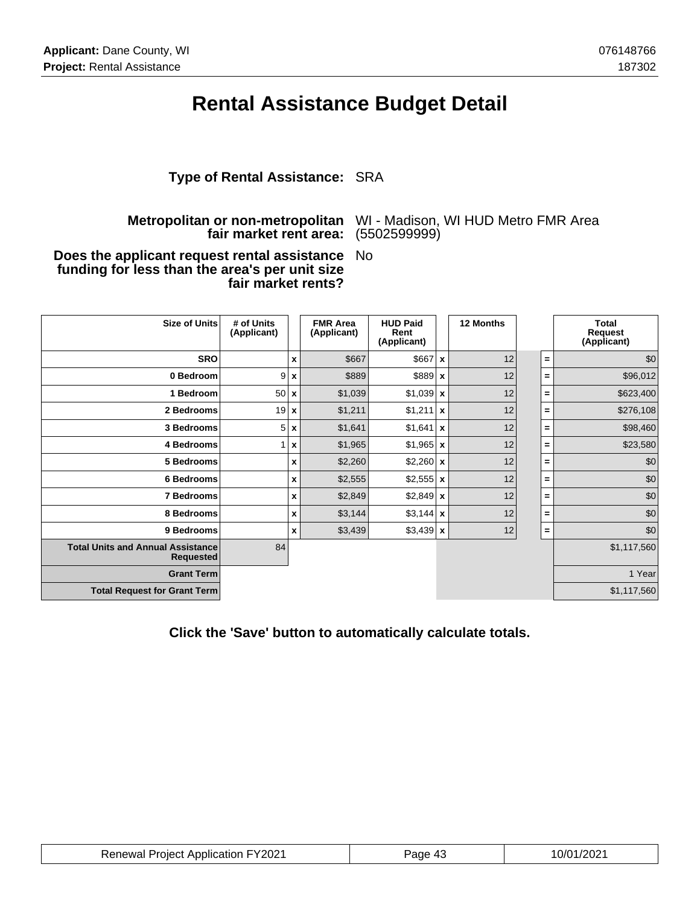# **Rental Assistance Budget Detail**

### **Type of Rental Assistance:** SRA

### **Metropolitan or non-metropolitan fair market rent area:**

WI - Madison, WI HUD Metro FMR Area (5502599999)

#### **Does the applicant request rental assistance funding for less than the area's per unit size fair market rents?** No

| <b>Size of Units</b>                                         | # of Units<br>(Applicant) |    | <b>FMR Area</b><br>(Applicant) | <b>HUD Paid</b><br>Rent<br>(Applicant) | 12 Months |          | <b>Total</b><br><b>Request</b><br>(Applicant) |
|--------------------------------------------------------------|---------------------------|----|--------------------------------|----------------------------------------|-----------|----------|-----------------------------------------------|
| <b>SRO</b>                                                   |                           | X  | \$667                          | $$667$ $x$                             | 12        | $=$      | \$0                                           |
| 0 Bedroom                                                    |                           | 9x | \$889                          | $$889$ $x$                             | 12        | =        | \$96,012                                      |
| 1 Bedroom                                                    | 50x                       |    | \$1,039                        | $$1,039$ x                             | 12        | =        | \$623,400                                     |
| 2 Bedrooms                                                   | $19$ x                    |    | \$1,211                        | $$1,211$ x                             | 12        | =        | \$276,108                                     |
| 3 Bedrooms                                                   |                           | 5x | \$1,641                        | $$1,641$ x                             | 12        | $=$      | \$98,460                                      |
| 4 Bedrooms                                                   | 11                        | X  | \$1,965                        | $$1,965$ $x$                           | 12        | Ξ        | \$23,580                                      |
| 5 Bedrooms                                                   |                           | X  | \$2,260                        | $$2,260$ x                             | 12        | $=$      | \$0                                           |
| 6 Bedrooms                                                   |                           | X  | \$2,555                        | $$2,555$ x                             | 12        | $=$      | \$0                                           |
| 7 Bedrooms                                                   |                           | X  | \$2,849                        | $$2,849$ x                             | 12        | $=$      | \$0                                           |
| 8 Bedrooms                                                   |                           | X  | \$3,144                        | $$3,144$ x                             | 12        | $\equiv$ | \$0                                           |
| 9 Bedrooms                                                   |                           | X  | \$3,439                        | $$3,439$ x                             | 12        | $=$      | \$0                                           |
| <b>Total Units and Annual Assistance</b><br><b>Requested</b> | 84                        |    |                                |                                        |           |          | \$1,117,560                                   |
| <b>Grant Term</b>                                            |                           |    |                                |                                        |           |          | 1 Year                                        |
| <b>Total Request for Grant Term</b>                          |                           |    |                                |                                        |           |          | \$1,117,560                                   |

**Click the 'Save' button to automatically calculate totals.**

| <b>Renewal Project Application FY2021</b> | <sup>2</sup> age 43 | 10/01/2021 |
|-------------------------------------------|---------------------|------------|
|-------------------------------------------|---------------------|------------|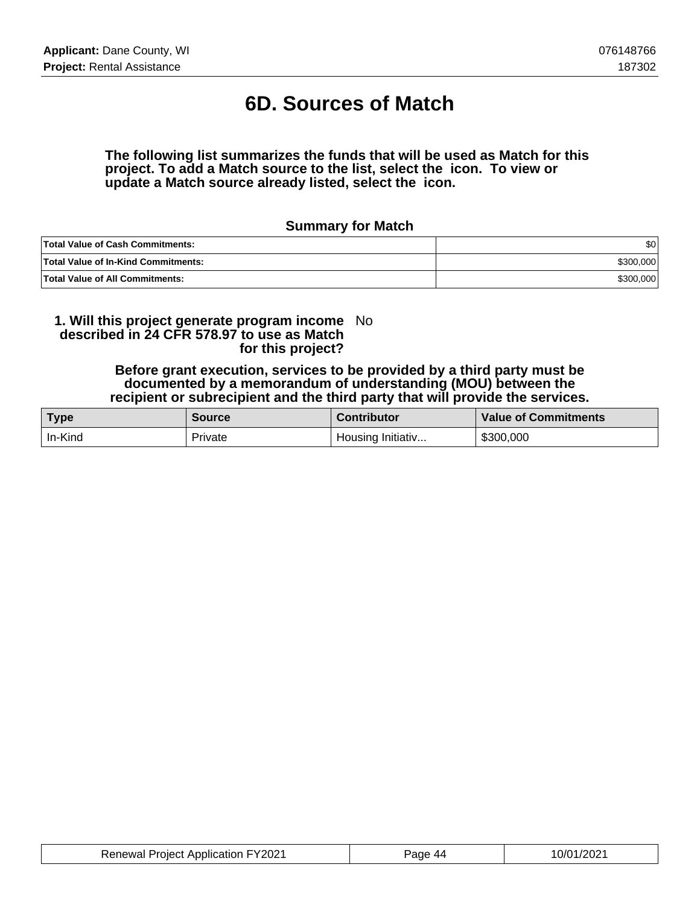# **6D. Sources of Match**

#### **The following list summarizes the funds that will be used as Match for this project. To add a Match source to the list, select the icon. To view or update a Match source already listed, select the icon.**

### **Summary for Match**

| <b>Total Value of Cash Commitments:</b>    | ا 30      |
|--------------------------------------------|-----------|
| <b>Total Value of In-Kind Commitments:</b> | \$300,000 |
| <b>Total Value of All Commitments:</b>     | \$300,000 |

### **1. Will this project generate program income** No **described in 24 CFR 578.97 to use as Match for this project?**

#### **Before grant execution, services to be provided by a third party must be documented by a memorandum of understanding (MOU) between the recipient or subrecipient and the third party that will provide the services.**

| <b>Type</b> | Source  | <b>Contributor</b>             | <b>Value of Commitments</b> |
|-------------|---------|--------------------------------|-----------------------------|
| In-Kind     | Private | <sup>1</sup> Housing Initiativ | \$300,000                   |

| <b>Renewal Project Application FY2021</b> | Page 44 | 10/01/2021 |
|-------------------------------------------|---------|------------|
|-------------------------------------------|---------|------------|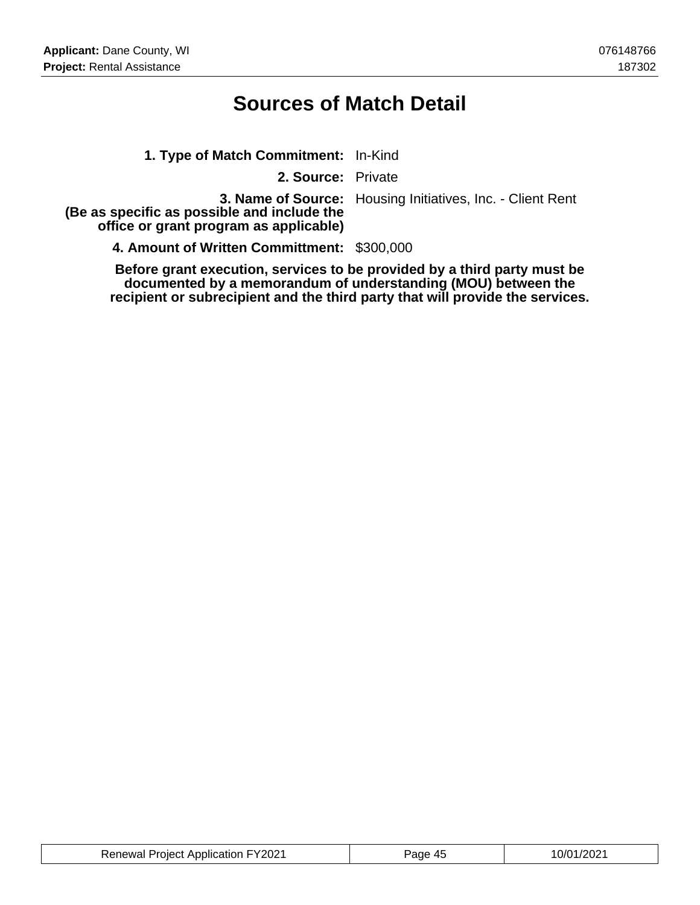# **Sources of Match Detail**

**1. Type of Match Commitment:** In-Kind

**2. Source:** Private

**3. Name of Source:** Housing Initiatives, Inc. - Client Rent

 **(Be as specific as possible and include the office or grant program as applicable)**

**4. Amount of Written Committment:** \$300,000

**Before grant execution, services to be provided by a third party must be documented by a memorandum of understanding (MOU) between the recipient or subrecipient and the third party that will provide the services.**

| <b>Renewal Project Application FY2021</b> | Page 45 | 10/01/2021 |
|-------------------------------------------|---------|------------|
|-------------------------------------------|---------|------------|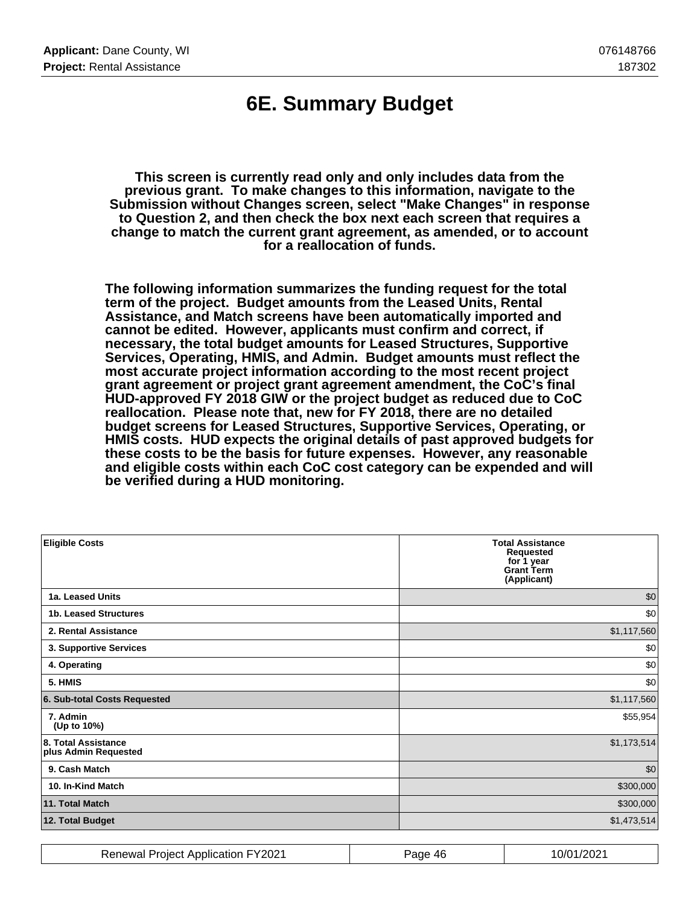# **6E. Summary Budget**

**This screen is currently read only and only includes data from the previous grant. To make changes to this information, navigate to the Submission without Changes screen, select "Make Changes" in response to Question 2, and then check the box next each screen that requires a change to match the current grant agreement, as amended, or to account for a reallocation of funds.**

**The following information summarizes the funding request for the total term of the project. Budget amounts from the Leased Units, Rental Assistance, and Match screens have been automatically imported and cannot be edited. However, applicants must confirm and correct, if necessary, the total budget amounts for Leased Structures, Supportive Services, Operating, HMIS, and Admin. Budget amounts must reflect the most accurate project information according to the most recent project grant agreement or project grant agreement amendment, the CoC's final HUD-approved FY 2018 GIW or the project budget as reduced due to CoC reallocation. Please note that, new for FY 2018, there are no detailed budget screens for Leased Structures, Supportive Services, Operating, or HMIS costs. HUD expects the original details of past approved budgets for these costs to be the basis for future expenses. However, any reasonable and eligible costs within each CoC cost category can be expended and will be verified during a HUD monitoring.**

| <b>Eligible Costs</b>                       | <b>Total Assistance</b><br>Requested<br>for 1 year<br><b>Grant Term</b><br>(Applicant) |
|---------------------------------------------|----------------------------------------------------------------------------------------|
| 1a. Leased Units                            | \$0                                                                                    |
| 1b. Leased Structures                       | \$0                                                                                    |
| 2. Rental Assistance                        | \$1,117,560                                                                            |
| 3. Supportive Services                      | \$0                                                                                    |
| 4. Operating                                | \$0                                                                                    |
| 5. HMIS                                     | \$0                                                                                    |
| 6. Sub-total Costs Requested                | \$1,117,560                                                                            |
| 7. Admin<br>(Up to 10%)                     | \$55,954                                                                               |
| 8. Total Assistance<br>plus Admin Requested | \$1,173,514                                                                            |
| 9. Cash Match                               | \$0                                                                                    |
| 10. In-Kind Match                           | \$300,000                                                                              |
| 11. Total Match                             | \$300,000                                                                              |
| 12. Total Budget                            | \$1,473,514                                                                            |

| <b>Renewal Project Application FY2021</b> | Page 46 | 10/01/2021 |
|-------------------------------------------|---------|------------|
|-------------------------------------------|---------|------------|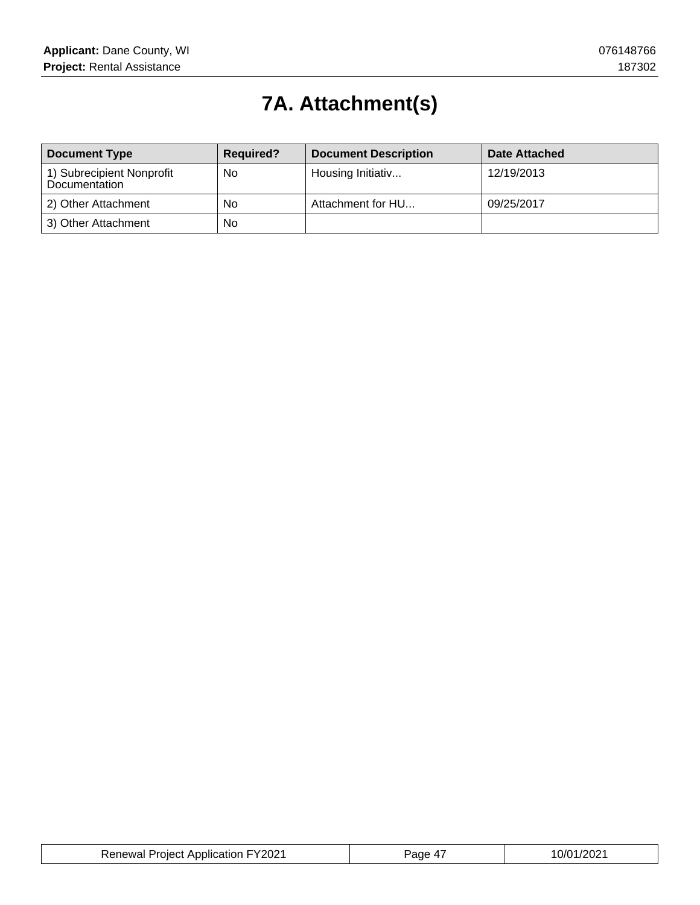# **7A. Attachment(s)**

| <b>Document Type</b>                       | <b>Required?</b> | <b>Document Description</b> | Date Attached |
|--------------------------------------------|------------------|-----------------------------|---------------|
| 1) Subrecipient Nonprofit<br>Documentation | No               | Housing Initiativ           | 12/19/2013    |
| 2) Other Attachment                        | No               | Attachment for HU           | 09/25/2017    |
| 3) Other Attachment                        | No               |                             |               |

| <b>Renewal Project Application FY2021</b> | aqe<br>$\overline{\phantom{a}}$ | 10/01/2021 |
|-------------------------------------------|---------------------------------|------------|
|-------------------------------------------|---------------------------------|------------|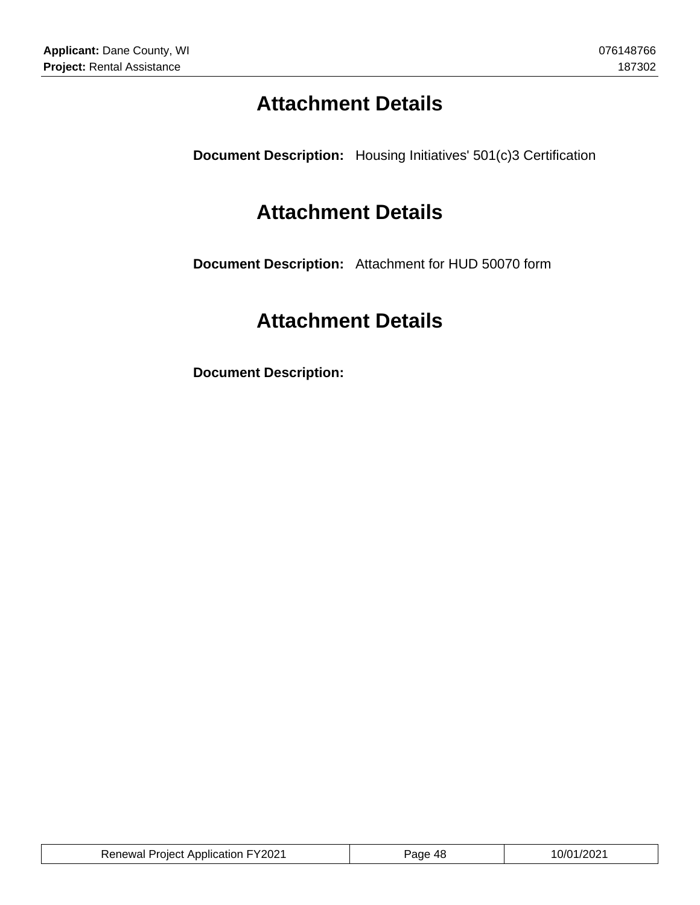# **Attachment Details**

**Document Description:** Housing Initiatives' 501(c)3 Certification

# **Attachment Details**

**Document Description:** Attachment for HUD 50070 form

# **Attachment Details**

**Document Description:**

| Y2021<br>Penewar<br>: Annlication<br>unier i | $\mathbf{u}$ | ے ں ک |
|----------------------------------------------|--------------|-------|
|----------------------------------------------|--------------|-------|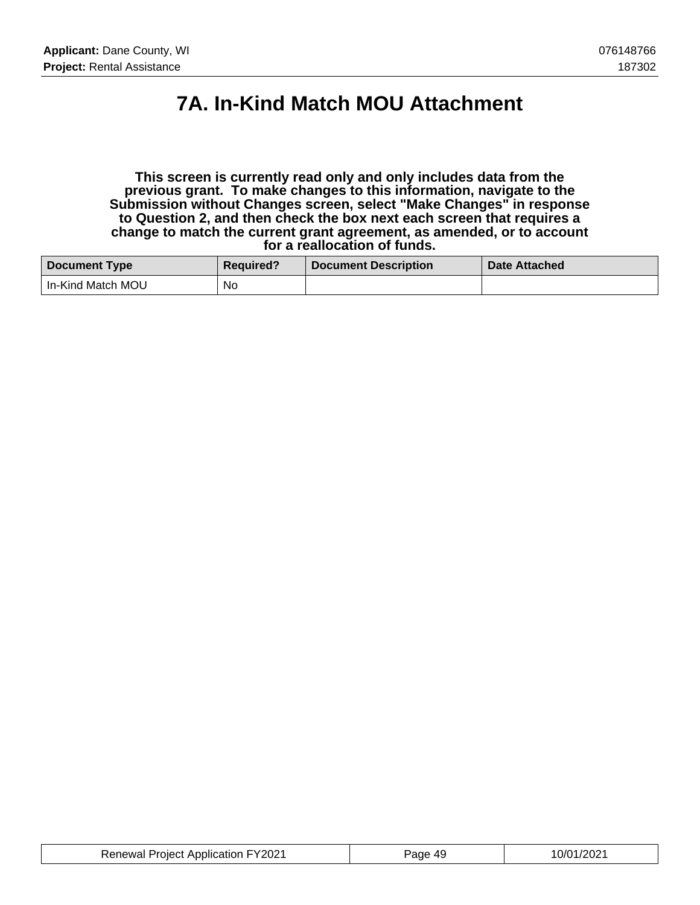# **7A. In-Kind Match MOU Attachment**

**This screen is currently read only and only includes data from the previous grant. To make changes to this information, navigate to the Submission without Changes screen, select "Make Changes" in response to Question 2, and then check the box next each screen that requires a change to match the current grant agreement, as amended, or to account for a reallocation of funds.**

| <b>Oocument Type</b> | <b>Required?</b> | <b>Document Description</b> | <b>Date Attached</b> |
|----------------------|------------------|-----------------------------|----------------------|
| In-Kind Match MOU    | No.              |                             |                      |

| <b>Renewal Project Application FY2021</b> | Page 49 | 10/01/2021 |
|-------------------------------------------|---------|------------|
|-------------------------------------------|---------|------------|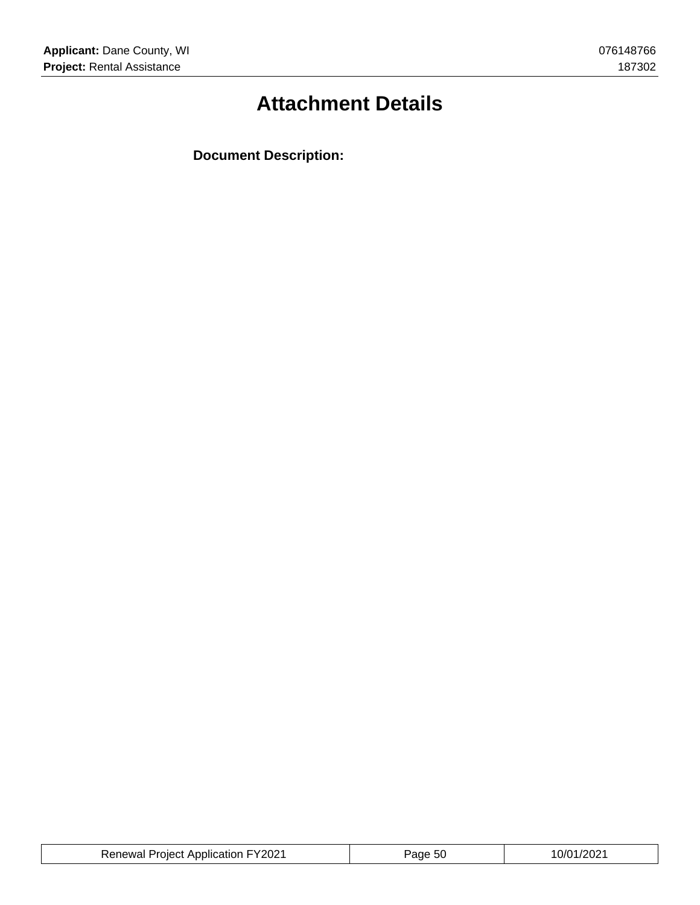# **Attachment Details**

**Document Description:**

| <b>Renewal Project Application FY2021</b> | age<br>-56 | 10/01/2021 |
|-------------------------------------------|------------|------------|
|-------------------------------------------|------------|------------|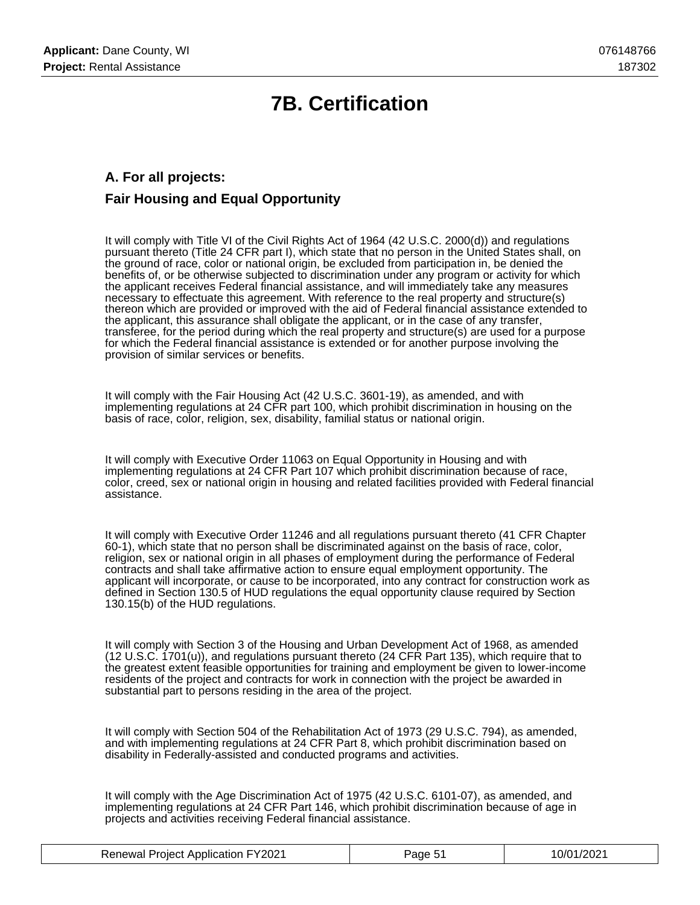# **7B. Certification**

### **A. For all projects: Fair Housing and Equal Opportunity**

It will comply with Title VI of the Civil Rights Act of 1964 (42 U.S.C. 2000(d)) and regulations pursuant thereto (Title 24 CFR part I), which state that no person in the United States shall, on the ground of race, color or national origin, be excluded from participation in, be denied the benefits of, or be otherwise subjected to discrimination under any program or activity for which the applicant receives Federal financial assistance, and will immediately take any measures necessary to effectuate this agreement. With reference to the real property and structure(s) thereon which are provided or improved with the aid of Federal financial assistance extended to the applicant, this assurance shall obligate the applicant, or in the case of any transfer, transferee, for the period during which the real property and structure(s) are used for a purpose for which the Federal financial assistance is extended or for another purpose involving the provision of similar services or benefits.

It will comply with the Fair Housing Act (42 U.S.C. 3601-19), as amended, and with implementing regulations at 24 CFR part 100, which prohibit discrimination in housing on the basis of race, color, religion, sex, disability, familial status or national origin.

It will comply with Executive Order 11063 on Equal Opportunity in Housing and with implementing regulations at 24 CFR Part 107 which prohibit discrimination because of race, color, creed, sex or national origin in housing and related facilities provided with Federal financial assistance.

It will comply with Executive Order 11246 and all regulations pursuant thereto (41 CFR Chapter 60-1), which state that no person shall be discriminated against on the basis of race, color, religion, sex or national origin in all phases of employment during the performance of Federal contracts and shall take affirmative action to ensure equal employment opportunity. The applicant will incorporate, or cause to be incorporated, into any contract for construction work as defined in Section 130.5 of HUD regulations the equal opportunity clause required by Section 130.15(b) of the HUD regulations.

It will comply with Section 3 of the Housing and Urban Development Act of 1968, as amended (12 U.S.C. 1701(u)), and regulations pursuant thereto (24 CFR Part 135), which require that to the greatest extent feasible opportunities for training and employment be given to lower-income residents of the project and contracts for work in connection with the project be awarded in substantial part to persons residing in the area of the project.

It will comply with Section 504 of the Rehabilitation Act of 1973 (29 U.S.C. 794), as amended, and with implementing regulations at 24 CFR Part 8, which prohibit discrimination based on disability in Federally-assisted and conducted programs and activities.

It will comply with the Age Discrimination Act of 1975 (42 U.S.C. 6101-07), as amended, and implementing regulations at 24 CFR Part 146, which prohibit discrimination because of age in projects and activities receiving Federal financial assistance.

| <b>Renewal Project Application FY2021</b> | Page 51 | 10/01/2021 |
|-------------------------------------------|---------|------------|
|-------------------------------------------|---------|------------|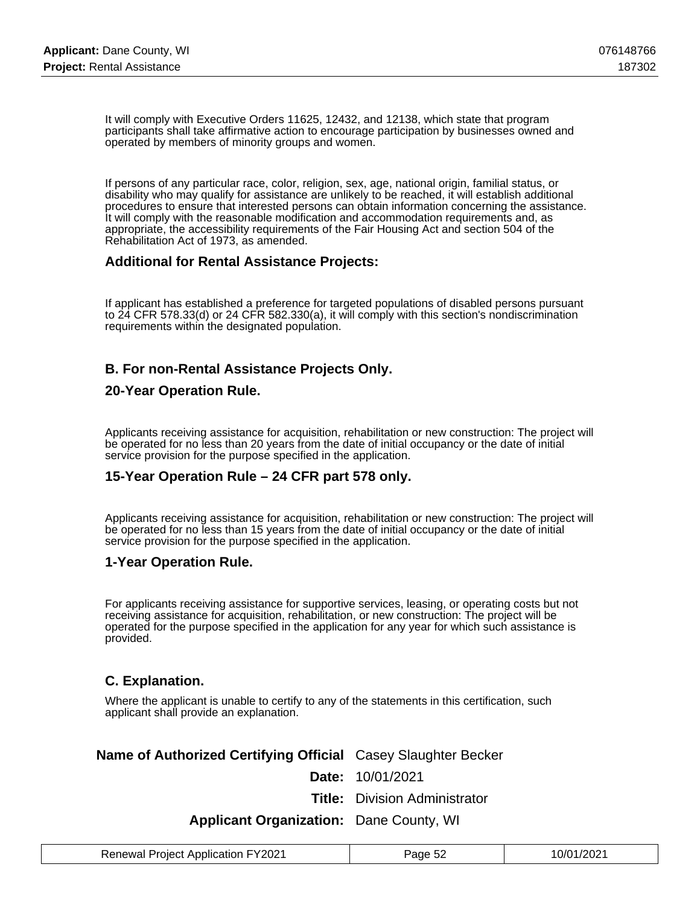It will comply with Executive Orders 11625, 12432, and 12138, which state that program participants shall take affirmative action to encourage participation by businesses owned and operated by members of minority groups and women.

If persons of any particular race, color, religion, sex, age, national origin, familial status, or disability who may qualify for assistance are unlikely to be reached, it will establish additional procedures to ensure that interested persons can obtain information concerning the assistance. It will comply with the reasonable modification and accommodation requirements and, as appropriate, the accessibility requirements of the Fair Housing Act and section 504 of the Rehabilitation Act of 1973, as amended.

### **Additional for Rental Assistance Projects:**

If applicant has established a preference for targeted populations of disabled persons pursuant to 24 CFR 578.33(d) or 24 CFR 582.330(a), it will comply with this section's nondiscrimination requirements within the designated population.

### **B. For non-Rental Assistance Projects Only.**

### **20-Year Operation Rule.**

Applicants receiving assistance for acquisition, rehabilitation or new construction: The project will be operated for no less than 20 years from the date of initial occupancy or the date of initial service provision for the purpose specified in the application.

### **15-Year Operation Rule – 24 CFR part 578 only.**

Applicants receiving assistance for acquisition, rehabilitation or new construction: The project will be operated for no less than 15 years from the date of initial occupancy or the date of initial service provision for the purpose specified in the application.

### **1-Year Operation Rule.**

For applicants receiving assistance for supportive services, leasing, or operating costs but not receiving assistance for acquisition, rehabilitation, or new construction: The project will be operated for the purpose specified in the application for any year for which such assistance is provided.

### **C. Explanation.**

Where the applicant is unable to certify to any of the statements in this certification, such applicant shall provide an explanation.

| Name of Authorized Certifying Official Casey Slaughter Becker |                                      |
|---------------------------------------------------------------|--------------------------------------|
|                                                               | Date: 10/01/2021                     |
|                                                               | <b>Title:</b> Division Administrator |
| <b>Applicant Organization:</b> Dane County, WI                |                                      |

| <b>Renewal Project Application FY2021</b> | Page 52 | 10/01/2021 |
|-------------------------------------------|---------|------------|
|-------------------------------------------|---------|------------|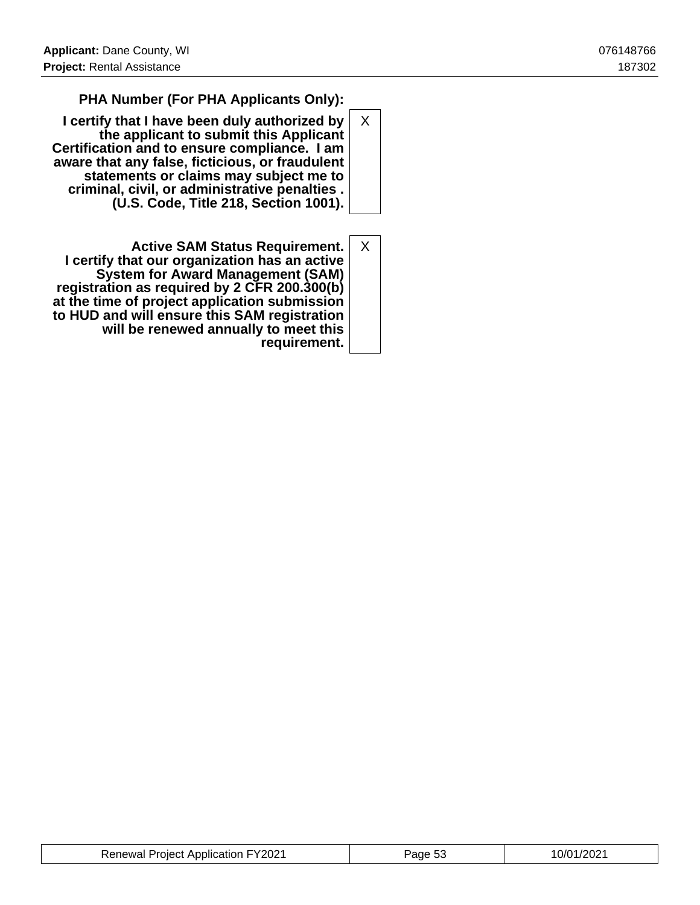### **PHA Number (For PHA Applicants Only):**

- **I certify that I have been duly authorized by the applicant to submit this Applicant Certification and to ensure compliance. I am aware that any false, ficticious, or fraudulent statements or claims may subject me to criminal, civil, or administrative penalties . (U.S. Code, Title 218, Section 1001).** X
- **Active SAM Status Requirement. I certify that our organization has an active System for Award Management (SAM) registration as required by 2 CFR 200.300(b) at the time of project application submission to HUD and will ensure this SAM registration will be renewed annually to meet this requirement.** X

| <b>Renewal Project Application FY2021</b> | Page 53 | 10/01/2021 |
|-------------------------------------------|---------|------------|
|-------------------------------------------|---------|------------|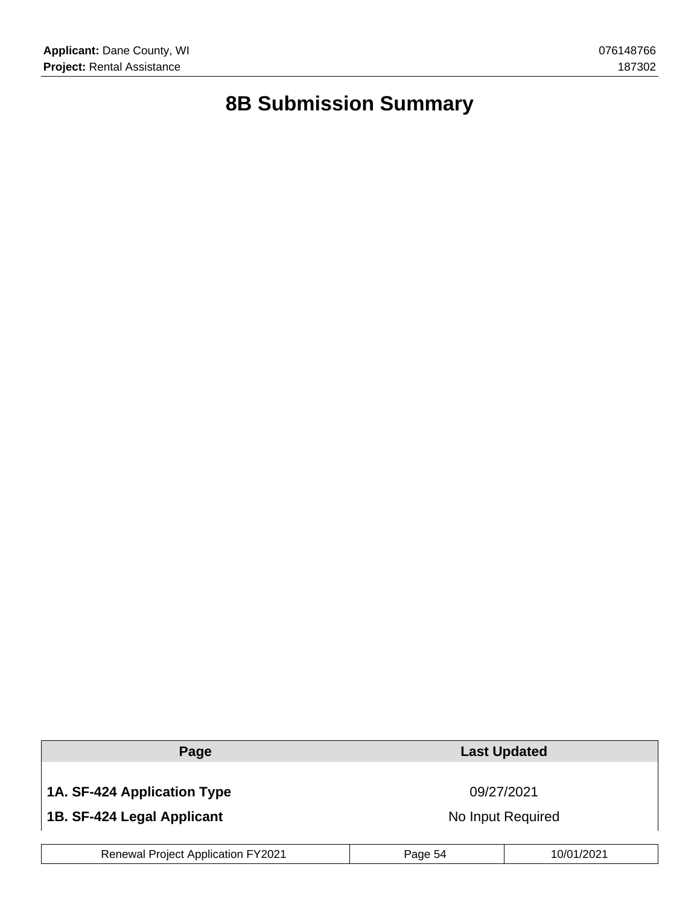# **8B Submission Summary**

| Page                                      | <b>Last Updated</b> |            |  |
|-------------------------------------------|---------------------|------------|--|
| 1A. SF-424 Application Type               | 09/27/2021          |            |  |
| 1B. SF-424 Legal Applicant                | No Input Required   |            |  |
| <b>Renewal Project Application FY2021</b> | Page 54             | 10/01/2021 |  |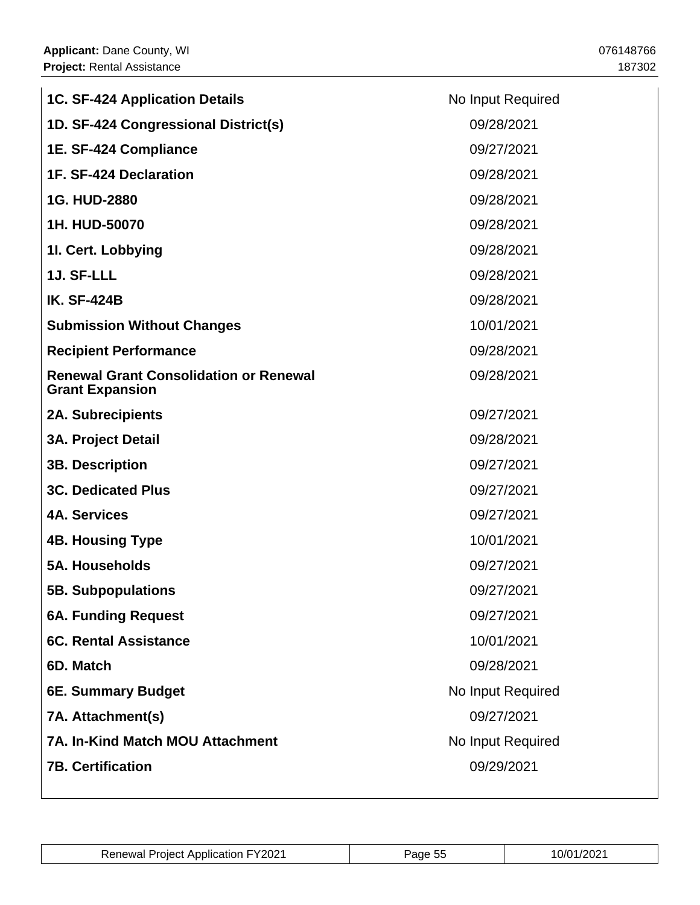| <b>1C. SF-424 Application Details</b>                                   | No Input Required |
|-------------------------------------------------------------------------|-------------------|
| 1D. SF-424 Congressional District(s)                                    | 09/28/2021        |
| 1E. SF-424 Compliance                                                   | 09/27/2021        |
| 1F. SF-424 Declaration                                                  | 09/28/2021        |
| 1G. HUD-2880                                                            | 09/28/2021        |
| 1H. HUD-50070                                                           | 09/28/2021        |
| 11. Cert. Lobbying                                                      | 09/28/2021        |
| 1J. SF-LLL                                                              | 09/28/2021        |
| <b>IK. SF-424B</b>                                                      | 09/28/2021        |
| <b>Submission Without Changes</b>                                       | 10/01/2021        |
| <b>Recipient Performance</b>                                            | 09/28/2021        |
| <b>Renewal Grant Consolidation or Renewal</b><br><b>Grant Expansion</b> | 09/28/2021        |
| <b>2A. Subrecipients</b>                                                | 09/27/2021        |
| <b>3A. Project Detail</b>                                               | 09/28/2021        |
| <b>3B. Description</b>                                                  | 09/27/2021        |
| <b>3C. Dedicated Plus</b>                                               | 09/27/2021        |
| <b>4A. Services</b>                                                     | 09/27/2021        |
| <b>4B. Housing Type</b>                                                 | 10/01/2021        |
| <b>5A. Households</b>                                                   | 09/27/2021        |
| <b>5B. Subpopulations</b>                                               | 09/27/2021        |
| <b>6A. Funding Request</b>                                              | 09/27/2021        |
| <b>6C. Rental Assistance</b>                                            | 10/01/2021        |
| 6D. Match                                                               | 09/28/2021        |
| 6E. Summary Budget                                                      | No Input Required |
| 7A. Attachment(s)                                                       | 09/27/2021        |
| 7A. In-Kind Match MOU Attachment                                        | No Input Required |
| <b>7B. Certification</b>                                                | 09/29/2021        |

| <b>Renewal Project Application FY2021</b> | $\cdots$ | 2021/<br>$\Omega$ |
|-------------------------------------------|----------|-------------------|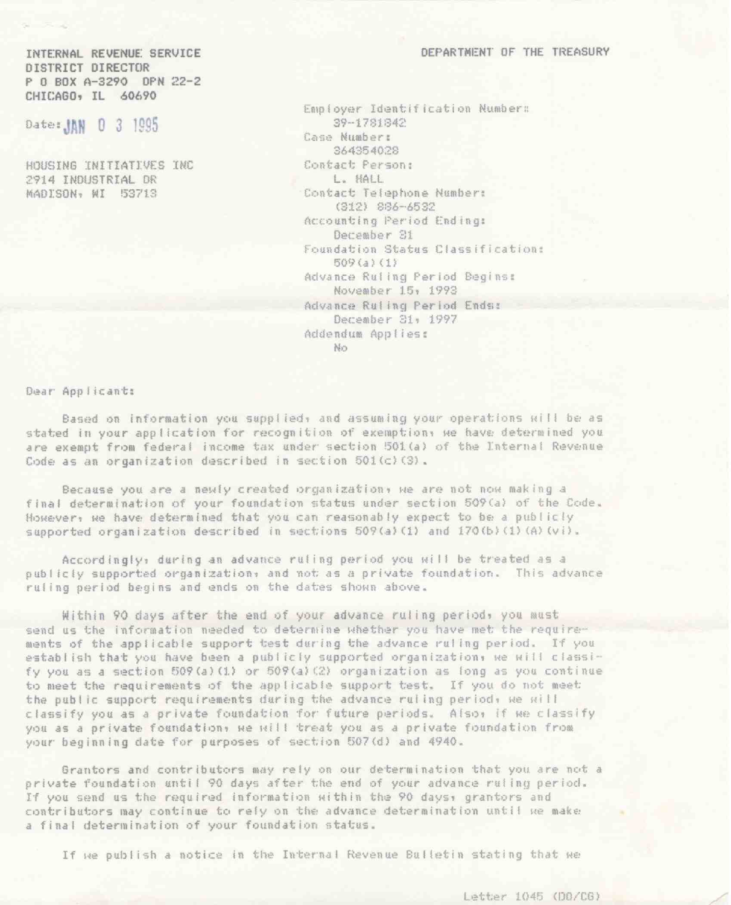INTERNAL REVENUE SERVICE DISTRICT DIRECTOR P 0 BOX A-3290 DPN 22-2 CHICAGO, IL 60690

Date: IAN 0 3 1995

HOUSING INITIATIVES INC 2914 INDUSTRIAL OR MADISON, WI 53713

Employer Identification Numbers 39-1781842 Case Number: 364354028 Contact: Person: L. HALL Contact Telephone Number: (312) 886-6532 Accounting Period Ending: December 31 Foundation Status Classification: 509(a)(1) Advance Ruling Period Begins: November 15, 1993 Advance Ruling Period Ends: December 31, 1997 Addendum Applies: May

Dear Applicant:

Based on information you supplied, and assuming your operations will be as stated in your application for recognition of exemption, we have determined you are exempt from federal income tax under section 501(a) of the Internal Revenue Code as an organization described in section 501(c)(3).

Because you are a newly created organization, we are not now making a final determination of your foundation status under section 509(a) of the Code. However, we have determined that you can reasonably expect to be a publicly supported organization described in sections 509(a)(1) and 170(b)(1)(A)(vi).

Accordingly, during an advance ruling period you will be treated as a publicly supported organization, and not as a private foundation. This advance ruling period begins and ends on the dates shown above.

Within 90 days after the end of your advance ruling period, you must send us the information needed to determine whether you have met the requirements of the applicable support test during the advance ruling period. If you establish that you have been a publicly supported organization, we will classify you as a section 509(a)(1) or 509(a)(2) organization as long as you continue to meet the requirements of the applicable support test. If you do not meet the public support requirements during the advance ruling period, we will classify you as a private foundation for future periods. Also, if we classify you as a private foundation, we will treat you as a private foundation from your beginning date for purposes of section 507(d) and 4940.

Grantors and contributors may rely on our determination that you are not a private foundation until 90 days after the end of your advance ruling period. If you send us the required information within the 90 days, grantors and contributors may continue to rely on the advance determination until we make a final determination of your foundation status.

If we publish a notice in the Internal Revenue Bulletin stating that we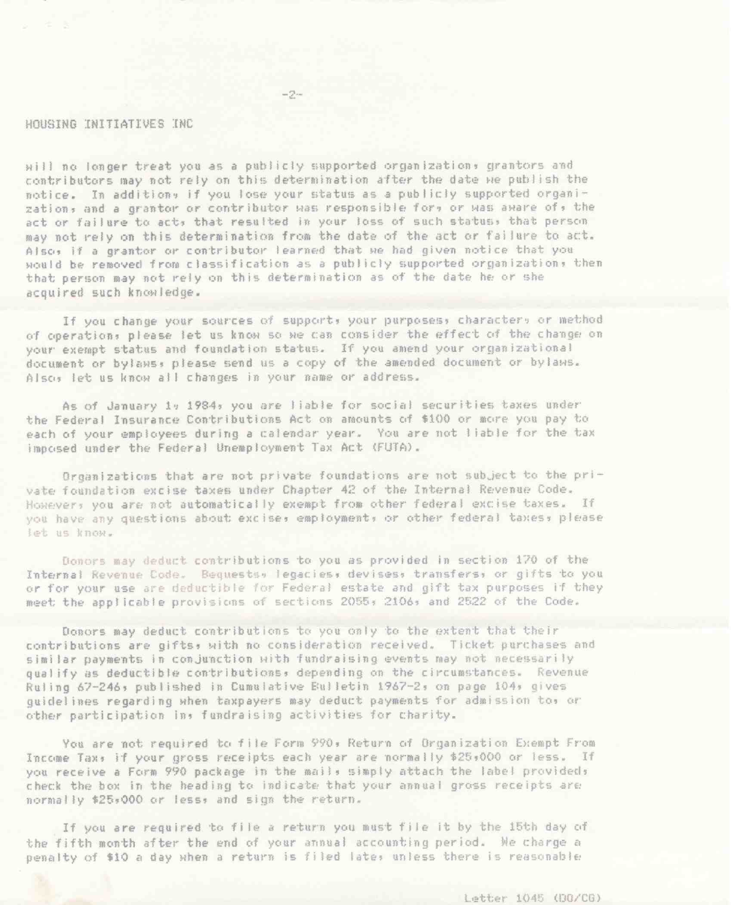#### HOUSING INITIATIVES INC

will no longer treat you as a publicly supported organization, grantors and contributors may not rely on this determination after the date we publish the notice. In additions if you lose your status as a publicly supported organization, and a grantor or contributor was responsible for, or was aware of, the act or failure to act, that resulted in your loss of such status, that person may not rely on this determination from the date of the act or failure to act. Also, if a grantor or contributor learned that we had given notice that you would be removed from classification as a publicly supported organization, then that person may not rely on this determination as of the date he or she acquired such knowledge.

If you change your sources of support, your purposes, character, or method of coeration, please let us know so we can consider the effect of the change on your exempt status and foundation status. If you amend your organizational document or bylaws: please send us a copy of the amended document or bylaws. Also, let us know all changes in your name or address.

As of January 1, 1984, you are liable for social securities taxes under the Federal Insurance Contributions Act on amounts of \$100 or more you pay to each of your employees during a calendar year. You are not liable for the tax imposed under the Federal Unemployment Tax Act (FUTA).

Organizations that are not private foundations are not subject to the private foundation excise taxes under Chapter 42 of the Internal Revenue Code. Howevers you are not automatically exempt from other federal excise taxes. If you have any questions about excise: employment, or other federal taxes, please let us know.

Donors may deduct contributions to you as provided in section 170 of the Internal Revenue Code. Bequests, legacies, devises, transfers, or gifts to you or for your use are deductible for Federal estate and gift tax purposes if they meet the applicable provisions of sections 2055; 2106; and 2522 of the Code.

Donors may deduct contributions to you only to the extent that their contributions are gifts, with no consideration received. Ticket purchases and similar payments in conjunction with fundraising events may not necessarily qualify as deductible contributions, depending on the circumstances. Revenue Ruling 67-246, published in Cumulative Eulletin 1967-2, on page 104, gives quidelines regarding when taxpayers may deduct payments for admission to, or other participation in: fundraising activities for charity.

You are not required to file Form 990, Return of Organization Exempt From Income Tax: if your gross receipts each year are normally \$25,000 or less. If you receive a Form 990 package in the mails simply attach the label provideds check the box in the heading to indicate that your annual gross receipts are normally \$25,000 or less, and sign the return.

If you are required to file a return you must file it by the 15th day of the fifth month after the end of your annual accounting period. We charge a penalty of \$10 a day when a return is filed lates unless there is reasonable